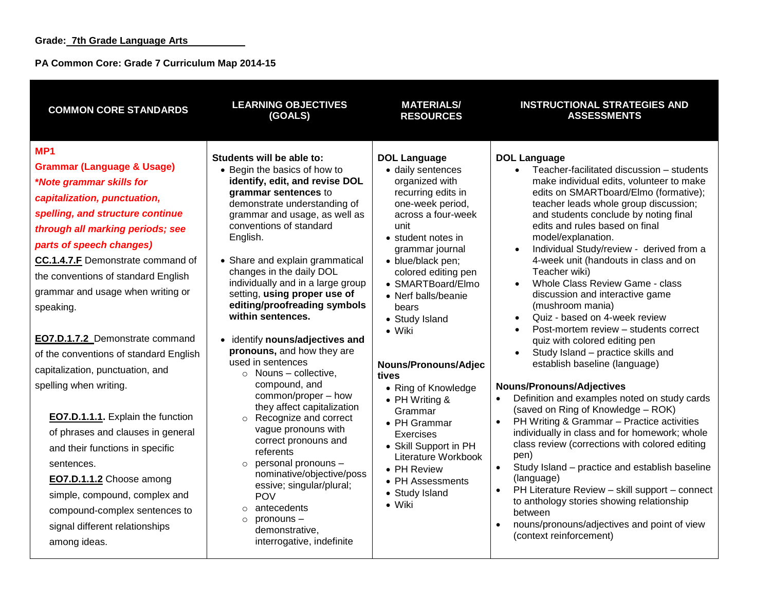# **Grade: 7th Grade Language Arts**

**PA Common Core: Grade 7 Curriculum Map 2014-15**

| <b>COMMON CORE STANDARDS</b>                                                                                                                                                                                                                                                                                                                                                                                                                                                                                                                                                                                                                                                                                                             | <b>LEARNING OBJECTIVES</b><br>(GOALS)                                                                                                                                                                                                                                                                                                                                                                                                                                                                                                                                                                                                                                                                                                                                                                                                  | <b>MATERIALS/</b><br><b>RESOURCES</b>                                                                                                                                                                                                                                                                                                                                                                                                                                                                                                             | <b>INSTRUCTIONAL STRATEGIES AND</b><br><b>ASSESSMENTS</b>                                                                                                                                                                                                                                                                                                                                                                                                                                                                                                                                                                                                                                                                                                                                                                                                                                                                                                                                                                                                                                                                                                                                          |
|------------------------------------------------------------------------------------------------------------------------------------------------------------------------------------------------------------------------------------------------------------------------------------------------------------------------------------------------------------------------------------------------------------------------------------------------------------------------------------------------------------------------------------------------------------------------------------------------------------------------------------------------------------------------------------------------------------------------------------------|----------------------------------------------------------------------------------------------------------------------------------------------------------------------------------------------------------------------------------------------------------------------------------------------------------------------------------------------------------------------------------------------------------------------------------------------------------------------------------------------------------------------------------------------------------------------------------------------------------------------------------------------------------------------------------------------------------------------------------------------------------------------------------------------------------------------------------------|---------------------------------------------------------------------------------------------------------------------------------------------------------------------------------------------------------------------------------------------------------------------------------------------------------------------------------------------------------------------------------------------------------------------------------------------------------------------------------------------------------------------------------------------------|----------------------------------------------------------------------------------------------------------------------------------------------------------------------------------------------------------------------------------------------------------------------------------------------------------------------------------------------------------------------------------------------------------------------------------------------------------------------------------------------------------------------------------------------------------------------------------------------------------------------------------------------------------------------------------------------------------------------------------------------------------------------------------------------------------------------------------------------------------------------------------------------------------------------------------------------------------------------------------------------------------------------------------------------------------------------------------------------------------------------------------------------------------------------------------------------------|
| MP <sub>1</sub><br><b>Grammar (Language &amp; Usage)</b><br>*Note grammar skills for<br>capitalization, punctuation,<br>spelling, and structure continue<br>through all marking periods; see<br>parts of speech changes)<br><b>CC.1.4.7.F</b> Demonstrate command of<br>the conventions of standard English<br>grammar and usage when writing or<br>speaking.<br>EO7.D.1.7.2 Demonstrate command<br>of the conventions of standard English<br>capitalization, punctuation, and<br>spelling when writing.<br><b>EO7.D.1.1.1.</b> Explain the function<br>of phrases and clauses in general<br>and their functions in specific<br>sentences.<br>EO7.D.1.1.2 Choose among<br>simple, compound, complex and<br>compound-complex sentences to | Students will be able to:<br>• Begin the basics of how to<br>identify, edit, and revise DOL<br>grammar sentences to<br>demonstrate understanding of<br>grammar and usage, as well as<br>conventions of standard<br>English.<br>• Share and explain grammatical<br>changes in the daily DOL<br>individually and in a large group<br>setting, using proper use of<br>editing/proofreading symbols<br>within sentences.<br>• identify nouns/adjectives and<br>pronouns, and how they are<br>used in sentences<br>$\circ$ Nouns – collective,<br>compound, and<br>common/proper - how<br>they affect capitalization<br>o Recognize and correct<br>vague pronouns with<br>correct pronouns and<br>referents<br>$\circ$ personal pronouns -<br>nominative/objective/poss<br>essive; singular/plural;<br><b>POV</b><br>antecedents<br>$\circ$ | <b>DOL Language</b><br>· daily sentences<br>organized with<br>recurring edits in<br>one-week period,<br>across a four-week<br>unit<br>• student notes in<br>grammar journal<br>· blue/black pen;<br>colored editing pen<br>• SMARTBoard/Elmo<br>• Nerf balls/beanie<br>bears<br>• Study Island<br>$\bullet$ Wiki<br>Nouns/Pronouns/Adjec<br>tives<br>• Ring of Knowledge<br>• PH Writing &<br>Grammar<br>• PH Grammar<br>Exercises<br>• Skill Support in PH<br>Literature Workbook<br>• PH Review<br>• PH Assessments<br>• Study Island<br>• Wiki | <b>DOL Language</b><br>Teacher-facilitated discussion - students<br>$\bullet$<br>make individual edits, volunteer to make<br>edits on SMARTboard/Elmo (formative);<br>teacher leads whole group discussion;<br>and students conclude by noting final<br>edits and rules based on final<br>model/explanation.<br>Individual Study/review - derived from a<br>4-week unit (handouts in class and on<br>Teacher wiki)<br>Whole Class Review Game - class<br>$\bullet$<br>discussion and interactive game<br>(mushroom mania)<br>Quiz - based on 4-week review<br>$\bullet$<br>Post-mortem review - students correct<br>$\bullet$<br>quiz with colored editing pen<br>Study Island - practice skills and<br>establish baseline (language)<br><b>Nouns/Pronouns/Adjectives</b><br>Definition and examples noted on study cards<br>(saved on Ring of Knowledge - ROK)<br>PH Writing & Grammar - Practice activities<br>individually in class and for homework; whole<br>class review (corrections with colored editing<br>pen)<br>Study Island - practice and establish baseline<br>(language)<br>PH Literature Review - skill support - connect<br>to anthology stories showing relationship<br>between |
| signal different relationships<br>among ideas.                                                                                                                                                                                                                                                                                                                                                                                                                                                                                                                                                                                                                                                                                           | pronouns-<br>$\circ$<br>demonstrative,<br>interrogative, indefinite                                                                                                                                                                                                                                                                                                                                                                                                                                                                                                                                                                                                                                                                                                                                                                    |                                                                                                                                                                                                                                                                                                                                                                                                                                                                                                                                                   | nouns/pronouns/adjectives and point of view<br>(context reinforcement)                                                                                                                                                                                                                                                                                                                                                                                                                                                                                                                                                                                                                                                                                                                                                                                                                                                                                                                                                                                                                                                                                                                             |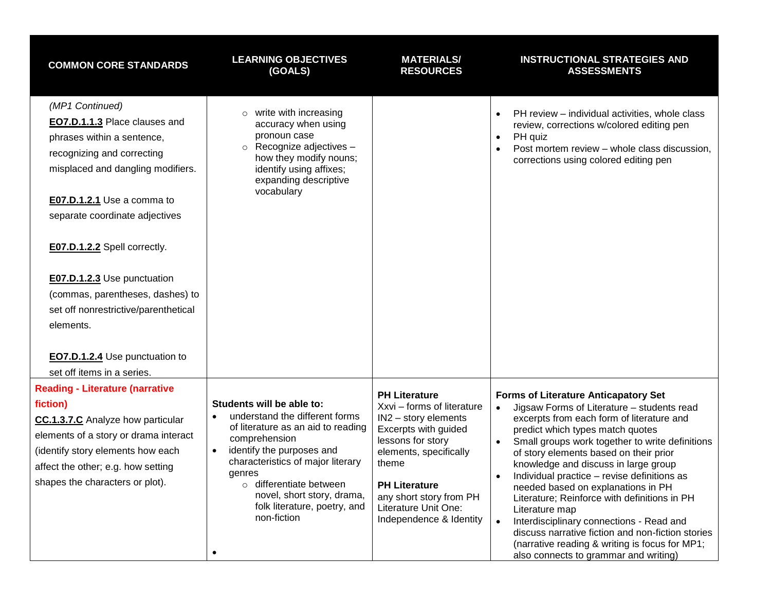| <b>COMMON CORE STANDARDS</b>                                                                                                                                                                                                                                                                                                                                                                                                                     | <b>LEARNING OBJECTIVES</b><br>(GOALS)                                                                                                                                                                                                                                                                  | <b>MATERIALS/</b><br><b>RESOURCES</b>                                                                                                                                                                                                                            | <b>INSTRUCTIONAL STRATEGIES AND</b><br><b>ASSESSMENTS</b>                                                                                                                                                                                                                                                                                                                                                                                                                                                                                                                                                                                                                                    |
|--------------------------------------------------------------------------------------------------------------------------------------------------------------------------------------------------------------------------------------------------------------------------------------------------------------------------------------------------------------------------------------------------------------------------------------------------|--------------------------------------------------------------------------------------------------------------------------------------------------------------------------------------------------------------------------------------------------------------------------------------------------------|------------------------------------------------------------------------------------------------------------------------------------------------------------------------------------------------------------------------------------------------------------------|----------------------------------------------------------------------------------------------------------------------------------------------------------------------------------------------------------------------------------------------------------------------------------------------------------------------------------------------------------------------------------------------------------------------------------------------------------------------------------------------------------------------------------------------------------------------------------------------------------------------------------------------------------------------------------------------|
| (MP1 Continued)<br>EO7.D.1.1.3 Place clauses and<br>phrases within a sentence,<br>recognizing and correcting<br>misplaced and dangling modifiers.<br>E07.D.1.2.1 Use a comma to<br>separate coordinate adjectives<br>E07.D.1.2.2 Spell correctly.<br>E07.D.1.2.3 Use punctuation<br>(commas, parentheses, dashes) to<br>set off nonrestrictive/parenthetical<br>elements.<br><b>EO7.D.1.2.4</b> Use punctuation to<br>set off items in a series. | write with increasing<br>$\circ$<br>accuracy when using<br>pronoun case<br>Recognize adjectives -<br>$\circ$<br>how they modify nouns;<br>identify using affixes;<br>expanding descriptive<br>vocabulary                                                                                               |                                                                                                                                                                                                                                                                  | PH review – individual activities, whole class<br>review, corrections w/colored editing pen<br>PH quiz<br>$\bullet$<br>Post mortem review - whole class discussion,<br>corrections using colored editing pen                                                                                                                                                                                                                                                                                                                                                                                                                                                                                 |
| <b>Reading - Literature (narrative</b><br>fiction)<br><b>CC.1.3.7.C</b> Analyze how particular<br>elements of a story or drama interact<br>(identify story elements how each<br>affect the other; e.g. how setting<br>shapes the characters or plot).                                                                                                                                                                                            | Students will be able to:<br>understand the different forms<br>of literature as an aid to reading<br>comprehension<br>identify the purposes and<br>characteristics of major literary<br>genres<br>o differentiate between<br>novel, short story, drama,<br>folk literature, poetry, and<br>non-fiction | <b>PH Literature</b><br>Xxvi - forms of literature<br>IN2 - story elements<br>Excerpts with guided<br>lessons for story<br>elements, specifically<br>theme<br><b>PH Literature</b><br>any short story from PH<br>Literature Unit One:<br>Independence & Identity | <b>Forms of Literature Anticapatory Set</b><br>Jigsaw Forms of Literature - students read<br>$\bullet$<br>excerpts from each form of literature and<br>predict which types match quotes<br>Small groups work together to write definitions<br>of story elements based on their prior<br>knowledge and discuss in large group<br>Individual practice - revise definitions as<br>$\bullet$<br>needed based on explanations in PH<br>Literature; Reinforce with definitions in PH<br>Literature map<br>Interdisciplinary connections - Read and<br>discuss narrative fiction and non-fiction stories<br>(narrative reading & writing is focus for MP1;<br>also connects to grammar and writing) |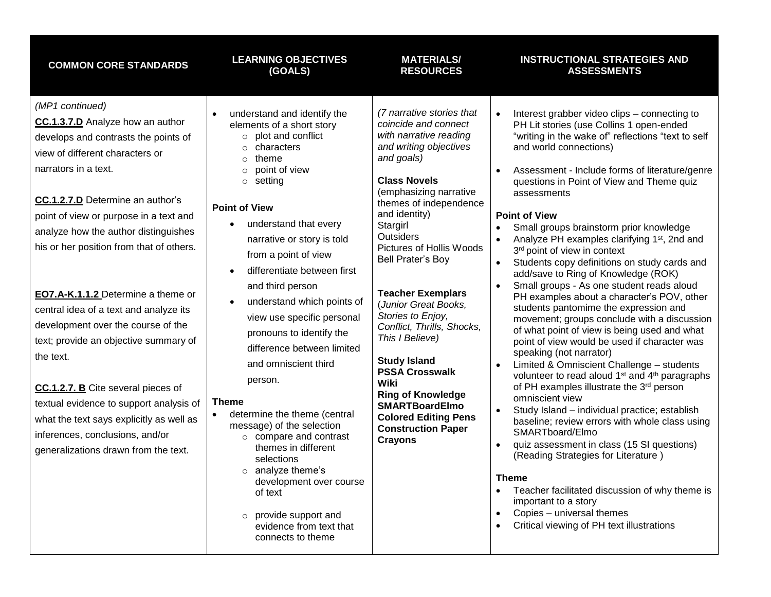| <b>COMMON CORE STANDARDS</b>                                                                                                                                                                                                                                                                                                                                                                                                                                                                                                                                                                                                                                                                                                      | <b>LEARNING OBJECTIVES</b>                                                                                                                                                                                                                                                                                                                                                                                                                                                                                                                                                                                                                                                                                                                                                                                                    | <b>MATERIALS/</b>                                                                                                                                                                                                                                                                                                                                                                                                                                                                                                                                                                                                     | <b>INSTRUCTIONAL STRATEGIES AND</b>                                                                                                                                                                                                                                                                                                                                                                                                                                                                                                                                                                                                                                                                                                                                                                                                                                                                                                                                                                                                                                                                                                                                                                                                                                                                                                                                                                                                                                                                                        |
|-----------------------------------------------------------------------------------------------------------------------------------------------------------------------------------------------------------------------------------------------------------------------------------------------------------------------------------------------------------------------------------------------------------------------------------------------------------------------------------------------------------------------------------------------------------------------------------------------------------------------------------------------------------------------------------------------------------------------------------|-------------------------------------------------------------------------------------------------------------------------------------------------------------------------------------------------------------------------------------------------------------------------------------------------------------------------------------------------------------------------------------------------------------------------------------------------------------------------------------------------------------------------------------------------------------------------------------------------------------------------------------------------------------------------------------------------------------------------------------------------------------------------------------------------------------------------------|-----------------------------------------------------------------------------------------------------------------------------------------------------------------------------------------------------------------------------------------------------------------------------------------------------------------------------------------------------------------------------------------------------------------------------------------------------------------------------------------------------------------------------------------------------------------------------------------------------------------------|----------------------------------------------------------------------------------------------------------------------------------------------------------------------------------------------------------------------------------------------------------------------------------------------------------------------------------------------------------------------------------------------------------------------------------------------------------------------------------------------------------------------------------------------------------------------------------------------------------------------------------------------------------------------------------------------------------------------------------------------------------------------------------------------------------------------------------------------------------------------------------------------------------------------------------------------------------------------------------------------------------------------------------------------------------------------------------------------------------------------------------------------------------------------------------------------------------------------------------------------------------------------------------------------------------------------------------------------------------------------------------------------------------------------------------------------------------------------------------------------------------------------------|
|                                                                                                                                                                                                                                                                                                                                                                                                                                                                                                                                                                                                                                                                                                                                   | (GOALS)                                                                                                                                                                                                                                                                                                                                                                                                                                                                                                                                                                                                                                                                                                                                                                                                                       | <b>RESOURCES</b>                                                                                                                                                                                                                                                                                                                                                                                                                                                                                                                                                                                                      | <b>ASSESSMENTS</b>                                                                                                                                                                                                                                                                                                                                                                                                                                                                                                                                                                                                                                                                                                                                                                                                                                                                                                                                                                                                                                                                                                                                                                                                                                                                                                                                                                                                                                                                                                         |
| (MP1 continued)<br><b>CC.1.3.7.D</b> Analyze how an author<br>develops and contrasts the points of<br>view of different characters or<br>narrators in a text.<br><b>CC.1.2.7.D</b> Determine an author's<br>point of view or purpose in a text and<br>analyze how the author distinguishes<br>his or her position from that of others.<br>EO7.A-K.1.1.2 Determine a theme or<br>central idea of a text and analyze its<br>development over the course of the<br>text; provide an objective summary of<br>the text.<br><b>CC.1.2.7. B</b> Cite several pieces of<br>textual evidence to support analysis of<br>what the text says explicitly as well as<br>inferences, conclusions, and/or<br>generalizations drawn from the text. | understand and identify the<br>elements of a short story<br>$\circ$ plot and conflict<br>characters<br>$\Omega$<br>theme<br>point of view<br>$\circ$<br>$\circ$ setting<br><b>Point of View</b><br>understand that every<br>$\bullet$<br>narrative or story is told<br>from a point of view<br>differentiate between first<br>$\bullet$<br>and third person<br>understand which points of<br>$\bullet$<br>view use specific personal<br>pronouns to identify the<br>difference between limited<br>and omniscient third<br>person.<br><b>Theme</b><br>determine the theme (central<br>message) of the selection<br>$\circ$ compare and contrast<br>themes in different<br>selections<br>$\circ$ analyze theme's<br>development over course<br>of text<br>o provide support and<br>evidence from text that<br>connects to theme | (7 narrative stories that<br>coincide and connect<br>with narrative reading<br>and writing objectives<br>and goals)<br><b>Class Novels</b><br>(emphasizing narrative<br>themes of independence<br>and identity)<br>Stargirl<br><b>Outsiders</b><br>Pictures of Hollis Woods<br>Bell Prater's Boy<br><b>Teacher Exemplars</b><br>(Junior Great Books,<br>Stories to Enjoy,<br>Conflict, Thrills, Shocks,<br>This I Believe)<br><b>Study Island</b><br><b>PSSA Crosswalk</b><br>Wiki<br><b>Ring of Knowledge</b><br><b>SMARTBoardElmo</b><br><b>Colored Editing Pens</b><br><b>Construction Paper</b><br><b>Crayons</b> | Interest grabber video clips - connecting to<br>PH Lit stories (use Collins 1 open-ended<br>"writing in the wake of" reflections "text to self<br>and world connections)<br>Assessment - Include forms of literature/genre<br>questions in Point of View and Theme quiz<br>assessments<br><b>Point of View</b><br>Small groups brainstorm prior knowledge<br>$\bullet$<br>Analyze PH examples clarifying 1 <sup>st</sup> , 2nd and<br>3rd point of view in context<br>Students copy definitions on study cards and<br>$\bullet$<br>add/save to Ring of Knowledge (ROK)<br>Small groups - As one student reads aloud<br>$\bullet$<br>PH examples about a character's POV, other<br>students pantomime the expression and<br>movement; groups conclude with a discussion<br>of what point of view is being used and what<br>point of view would be used if character was<br>speaking (not narrator)<br>Limited & Omniscient Challenge - students<br>volunteer to read aloud 1 <sup>st</sup> and 4 <sup>th</sup> paragraphs<br>of PH examples illustrate the 3rd person<br>omniscient view<br>Study Island - individual practice; establish<br>$\bullet$<br>baseline; review errors with whole class using<br>SMARTboard/Elmo<br>quiz assessment in class (15 SI questions)<br>$\bullet$<br>(Reading Strategies for Literature)<br><b>Theme</b><br>Teacher facilitated discussion of why theme is<br>important to a story<br>Copies - universal themes<br>$\bullet$<br>Critical viewing of PH text illustrations<br>$\bullet$ |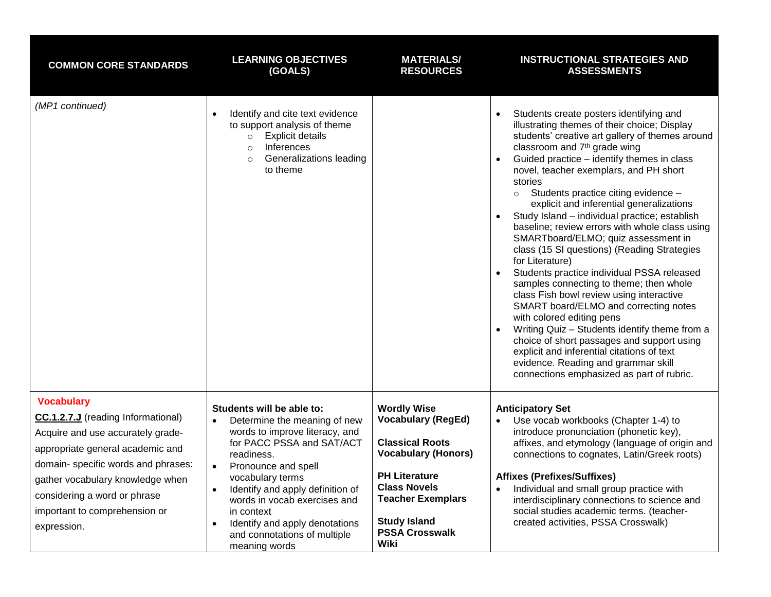| <b>COMMON CORE STANDARDS</b>                                                                                                                                                                                                                                                                       | <b>LEARNING OBJECTIVES</b><br>(GOALS)                                                                                                                                                                                                                                                                                                                               | <b>MATERIALS/</b><br><b>RESOURCES</b>                                                                                                                                                                                                      | <b>INSTRUCTIONAL STRATEGIES AND</b><br><b>ASSESSMENTS</b>                                                                                                                                                                                                                                                                                                                                                                                                                                                                                                                                                                                                                                                                                                                                                                                                                                                                                                                                                                                    |
|----------------------------------------------------------------------------------------------------------------------------------------------------------------------------------------------------------------------------------------------------------------------------------------------------|---------------------------------------------------------------------------------------------------------------------------------------------------------------------------------------------------------------------------------------------------------------------------------------------------------------------------------------------------------------------|--------------------------------------------------------------------------------------------------------------------------------------------------------------------------------------------------------------------------------------------|----------------------------------------------------------------------------------------------------------------------------------------------------------------------------------------------------------------------------------------------------------------------------------------------------------------------------------------------------------------------------------------------------------------------------------------------------------------------------------------------------------------------------------------------------------------------------------------------------------------------------------------------------------------------------------------------------------------------------------------------------------------------------------------------------------------------------------------------------------------------------------------------------------------------------------------------------------------------------------------------------------------------------------------------|
| (MP1 continued)                                                                                                                                                                                                                                                                                    | Identify and cite text evidence<br>to support analysis of theme<br><b>Explicit details</b><br>$\circ$<br>Inferences<br>$\circ$<br>Generalizations leading<br>$\circ$<br>to theme                                                                                                                                                                                    |                                                                                                                                                                                                                                            | Students create posters identifying and<br>illustrating themes of their choice; Display<br>students' creative art gallery of themes around<br>classroom and 7 <sup>th</sup> grade wing<br>Guided practice - identify themes in class<br>novel, teacher exemplars, and PH short<br>stories<br>$\circ$ Students practice citing evidence -<br>explicit and inferential generalizations<br>Study Island - individual practice; establish<br>baseline; review errors with whole class using<br>SMARTboard/ELMO; quiz assessment in<br>class (15 SI questions) (Reading Strategies<br>for Literature)<br>Students practice individual PSSA released<br>samples connecting to theme; then whole<br>class Fish bowl review using interactive<br>SMART board/ELMO and correcting notes<br>with colored editing pens<br>Writing Quiz - Students identify theme from a<br>choice of short passages and support using<br>explicit and inferential citations of text<br>evidence. Reading and grammar skill<br>connections emphasized as part of rubric. |
| <b>Vocabulary</b><br><b>CC.1.2.7.J</b> (reading Informational)<br>Acquire and use accurately grade-<br>appropriate general academic and<br>domain- specific words and phrases:<br>gather vocabulary knowledge when<br>considering a word or phrase<br>important to comprehension or<br>expression. | Students will be able to:<br>Determine the meaning of new<br>words to improve literacy, and<br>for PACC PSSA and SAT/ACT<br>readiness.<br>Pronounce and spell<br>$\bullet$<br>vocabulary terms<br>Identify and apply definition of<br>words in vocab exercises and<br>in context<br>Identify and apply denotations<br>and connotations of multiple<br>meaning words | <b>Wordly Wise</b><br><b>Vocabulary (RegEd)</b><br><b>Classical Roots</b><br><b>Vocabulary (Honors)</b><br><b>PH Literature</b><br><b>Class Novels</b><br><b>Teacher Exemplars</b><br><b>Study Island</b><br><b>PSSA Crosswalk</b><br>Wiki | <b>Anticipatory Set</b><br>Use vocab workbooks (Chapter 1-4) to<br>introduce pronunciation (phonetic key),<br>affixes, and etymology (language of origin and<br>connections to cognates, Latin/Greek roots)<br><b>Affixes (Prefixes/Suffixes)</b><br>Individual and small group practice with<br>interdisciplinary connections to science and<br>social studies academic terms. (teacher-<br>created activities, PSSA Crosswalk)                                                                                                                                                                                                                                                                                                                                                                                                                                                                                                                                                                                                             |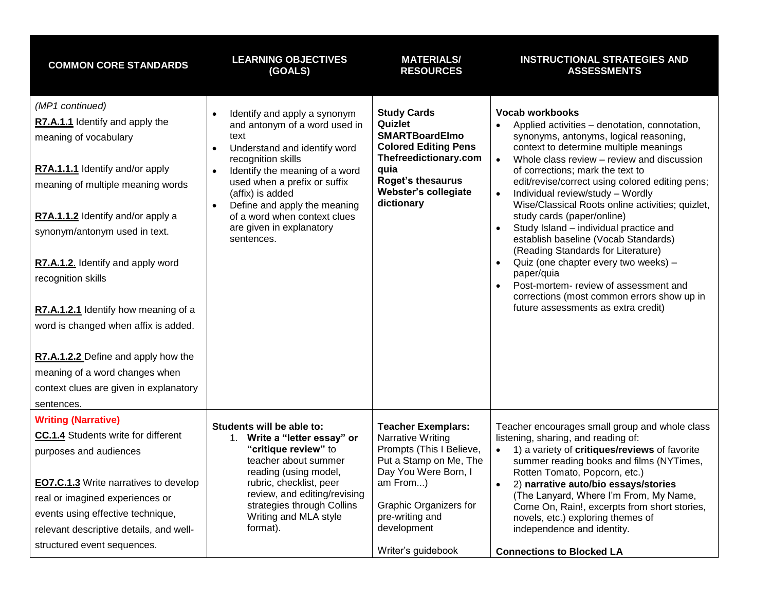| <b>COMMON CORE STANDARDS</b>                                                                                                                                                                                                                                                                                                                                                                                                                                                                          | <b>LEARNING OBJECTIVES</b><br>(GOALS)                                                                                                                                                                                                                                                                                                    | <b>MATERIALS/</b><br><b>RESOURCES</b>                                                                                                                                                                                             | <b>INSTRUCTIONAL STRATEGIES AND</b><br><b>ASSESSMENTS</b>                                                                                                                                                                                                                                                                                                                                                                                                                                                                                                                                                                                                                                                                                       |
|-------------------------------------------------------------------------------------------------------------------------------------------------------------------------------------------------------------------------------------------------------------------------------------------------------------------------------------------------------------------------------------------------------------------------------------------------------------------------------------------------------|------------------------------------------------------------------------------------------------------------------------------------------------------------------------------------------------------------------------------------------------------------------------------------------------------------------------------------------|-----------------------------------------------------------------------------------------------------------------------------------------------------------------------------------------------------------------------------------|-------------------------------------------------------------------------------------------------------------------------------------------------------------------------------------------------------------------------------------------------------------------------------------------------------------------------------------------------------------------------------------------------------------------------------------------------------------------------------------------------------------------------------------------------------------------------------------------------------------------------------------------------------------------------------------------------------------------------------------------------|
| (MP1 continued)<br>R7.A.1.1 Identify and apply the<br>meaning of vocabulary<br>R7A.1.1.1 Identify and/or apply<br>meaning of multiple meaning words<br>R7A.1.1.2 Identify and/or apply a<br>synonym/antonym used in text.<br>R7.A.1.2. Identify and apply word<br>recognition skills<br>R7.A.1.2.1 Identify how meaning of a<br>word is changed when affix is added.<br>R7.A.1.2.2 Define and apply how the<br>meaning of a word changes when<br>context clues are given in explanatory<br>sentences. | Identify and apply a synonym<br>and antonym of a word used in<br>text<br>Understand and identify word<br>recognition skills<br>Identify the meaning of a word<br>$\bullet$<br>used when a prefix or suffix<br>(affix) is added<br>Define and apply the meaning<br>of a word when context clues<br>are given in explanatory<br>sentences. | <b>Study Cards</b><br>Quizlet<br><b>SMARTBoardElmo</b><br><b>Colored Editing Pens</b><br>Thefreedictionary.com<br>quia<br><b>Roget's thesaurus</b><br>Webster's collegiate<br>dictionary                                          | <b>Vocab workbooks</b><br>Applied activities - denotation, connotation,<br>synonyms, antonyms, logical reasoning,<br>context to determine multiple meanings<br>Whole class review - review and discussion<br>of corrections; mark the text to<br>edit/revise/correct using colored editing pens;<br>Individual review/study - Wordly<br>$\bullet$<br>Wise/Classical Roots online activities; quizlet,<br>study cards (paper/online)<br>Study Island - individual practice and<br>establish baseline (Vocab Standards)<br>(Reading Standards for Literature)<br>Quiz (one chapter every two weeks) -<br>paper/quia<br>Post-mortem- review of assessment and<br>corrections (most common errors show up in<br>future assessments as extra credit) |
| <b>Writing (Narrative)</b><br><b>CC.1.4</b> Students write for different<br>purposes and audiences<br><b>EO7.C.1.3</b> Write narratives to develop<br>real or imagined experiences or<br>events using effective technique,<br>relevant descriptive details, and well-<br>structured event sequences.                                                                                                                                                                                                  | Students will be able to:<br>1. Write a "letter essay" or<br>"critique review" to<br>teacher about summer<br>reading (using model,<br>rubric, checklist, peer<br>review, and editing/revising<br>strategies through Collins<br>Writing and MLA style<br>format).                                                                         | <b>Teacher Exemplars:</b><br>Narrative Writing<br>Prompts (This I Believe,<br>Put a Stamp on Me, The<br>Day You Were Born, I<br>am From)<br><b>Graphic Organizers for</b><br>pre-writing and<br>development<br>Writer's guidebook | Teacher encourages small group and whole class<br>listening, sharing, and reading of:<br>1) a variety of critiques/reviews of favorite<br>summer reading books and films (NYTimes,<br>Rotten Tomato, Popcorn, etc.)<br>2) narrative auto/bio essays/stories<br>(The Lanyard, Where I'm From, My Name,<br>Come On, Rain!, excerpts from short stories,<br>novels, etc.) exploring themes of<br>independence and identity.<br><b>Connections to Blocked LA</b>                                                                                                                                                                                                                                                                                    |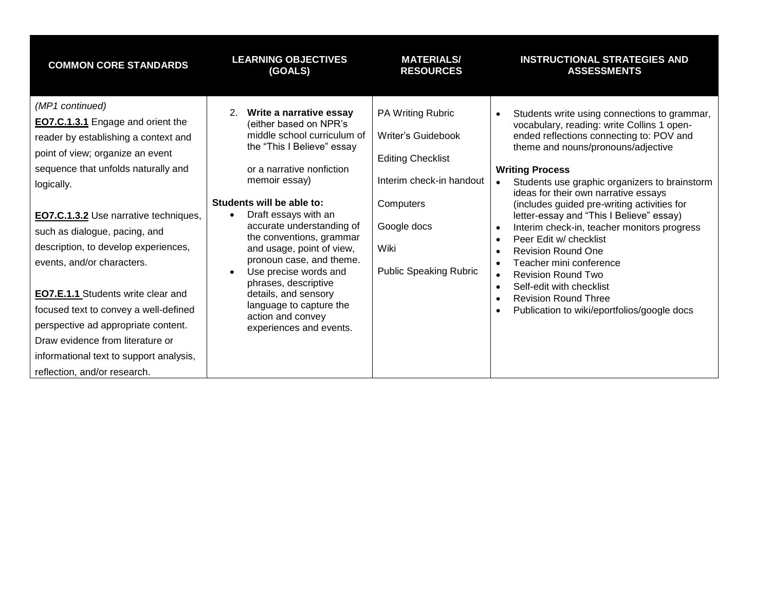| <b>COMMON CORE STANDARDS</b>                                                                                                                                                                                                                                                                                                                 | <b>LEARNING OBJECTIVES</b><br>(GOALS)                                                                                                                                                                                                                                                                                                                                                             | <b>MATERIALS/</b><br><b>RESOURCES</b>                                                                                                                                | <b>INSTRUCTIONAL STRATEGIES AND</b><br><b>ASSESSMENTS</b>                                                                                                                                                                                                                                                                                                                                                                                                                                                                                                                            |
|----------------------------------------------------------------------------------------------------------------------------------------------------------------------------------------------------------------------------------------------------------------------------------------------------------------------------------------------|---------------------------------------------------------------------------------------------------------------------------------------------------------------------------------------------------------------------------------------------------------------------------------------------------------------------------------------------------------------------------------------------------|----------------------------------------------------------------------------------------------------------------------------------------------------------------------|--------------------------------------------------------------------------------------------------------------------------------------------------------------------------------------------------------------------------------------------------------------------------------------------------------------------------------------------------------------------------------------------------------------------------------------------------------------------------------------------------------------------------------------------------------------------------------------|
| (MP1 continued)<br>EO7.C.1.3.1 Engage and orient the<br>reader by establishing a context and<br>point of view; organize an event<br>sequence that unfolds naturally and<br>logically.<br><b>EO7.C.1.3.2</b> Use narrative techniques,<br>such as dialogue, pacing, and<br>description, to develop experiences,<br>events, and/or characters. | Write a narrative essay<br>(either based on NPR's<br>middle school curriculum of<br>the "This I Believe" essay<br>or a narrative nonfiction<br>memoir essay)<br>Students will be able to:<br>Draft essays with an<br>$\bullet$<br>accurate understanding of<br>the conventions, grammar<br>and usage, point of view,<br>pronoun case, and theme.<br>Use precise words and<br>phrases, descriptive | PA Writing Rubric<br>Writer's Guidebook<br><b>Editing Checklist</b><br>Interim check-in handout<br>Computers<br>Google docs<br>Wiki<br><b>Public Speaking Rubric</b> | Students write using connections to grammar,<br>vocabulary, reading: write Collins 1 open-<br>ended reflections connecting to: POV and<br>theme and nouns/pronouns/adjective<br><b>Writing Process</b><br>Students use graphic organizers to brainstorm<br>ideas for their own narrative essays<br>(includes guided pre-writing activities for<br>letter-essay and "This I Believe" essay)<br>Interim check-in, teacher monitors progress<br>Peer Edit w/ checklist<br><b>Revision Round One</b><br>Teacher mini conference<br><b>Revision Round Two</b><br>Self-edit with checklist |
| <b>EO7.E.1.1</b> Students write clear and<br>focused text to convey a well-defined<br>perspective ad appropriate content.<br>Draw evidence from literature or                                                                                                                                                                                | details, and sensory<br>language to capture the<br>action and convey<br>experiences and events.                                                                                                                                                                                                                                                                                                   |                                                                                                                                                                      | <b>Revision Round Three</b><br>Publication to wiki/eportfolios/google docs                                                                                                                                                                                                                                                                                                                                                                                                                                                                                                           |
| informational text to support analysis,<br>reflection, and/or research.                                                                                                                                                                                                                                                                      |                                                                                                                                                                                                                                                                                                                                                                                                   |                                                                                                                                                                      |                                                                                                                                                                                                                                                                                                                                                                                                                                                                                                                                                                                      |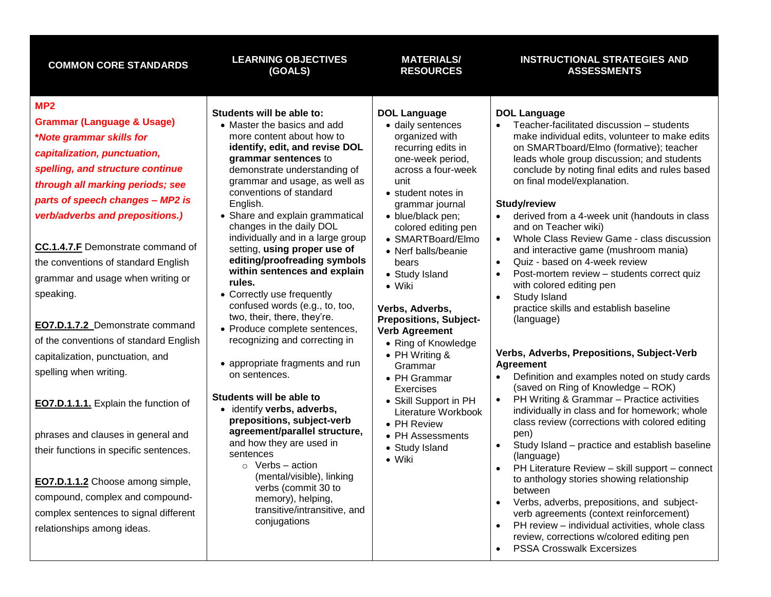| <b>COMMON CORE STANDARDS</b>                                                                                                                                                                                                                                                                                                                                                                                                                                                                                                                                                                                                                                                                                                                                                                                  | <b>LEARNING OBJECTIVES</b>                                                                                                                                                                                                                                                                                                                                                                                                                                                                                                                                                                                                                                                                                                                                                                                                                                                                                                                                                                                      | <b>MATERIALS/</b>                                                                                                                                                                                                                                                                                                                                                                                                                                                                                                                                                                            | <b>INSTRUCTIONAL STRATEGIES AND</b>                                                                                                                                                                                                                                                                                                                                                                                                                                                                                                                                                                                                                                                                                                                                                                                                                                                                                                                                                                                                                                                                                                                                                                                                                                                                                                                                                                                                                                                  |
|---------------------------------------------------------------------------------------------------------------------------------------------------------------------------------------------------------------------------------------------------------------------------------------------------------------------------------------------------------------------------------------------------------------------------------------------------------------------------------------------------------------------------------------------------------------------------------------------------------------------------------------------------------------------------------------------------------------------------------------------------------------------------------------------------------------|-----------------------------------------------------------------------------------------------------------------------------------------------------------------------------------------------------------------------------------------------------------------------------------------------------------------------------------------------------------------------------------------------------------------------------------------------------------------------------------------------------------------------------------------------------------------------------------------------------------------------------------------------------------------------------------------------------------------------------------------------------------------------------------------------------------------------------------------------------------------------------------------------------------------------------------------------------------------------------------------------------------------|----------------------------------------------------------------------------------------------------------------------------------------------------------------------------------------------------------------------------------------------------------------------------------------------------------------------------------------------------------------------------------------------------------------------------------------------------------------------------------------------------------------------------------------------------------------------------------------------|--------------------------------------------------------------------------------------------------------------------------------------------------------------------------------------------------------------------------------------------------------------------------------------------------------------------------------------------------------------------------------------------------------------------------------------------------------------------------------------------------------------------------------------------------------------------------------------------------------------------------------------------------------------------------------------------------------------------------------------------------------------------------------------------------------------------------------------------------------------------------------------------------------------------------------------------------------------------------------------------------------------------------------------------------------------------------------------------------------------------------------------------------------------------------------------------------------------------------------------------------------------------------------------------------------------------------------------------------------------------------------------------------------------------------------------------------------------------------------------|
|                                                                                                                                                                                                                                                                                                                                                                                                                                                                                                                                                                                                                                                                                                                                                                                                               | (GOALS)                                                                                                                                                                                                                                                                                                                                                                                                                                                                                                                                                                                                                                                                                                                                                                                                                                                                                                                                                                                                         | <b>RESOURCES</b>                                                                                                                                                                                                                                                                                                                                                                                                                                                                                                                                                                             | <b>ASSESSMENTS</b>                                                                                                                                                                                                                                                                                                                                                                                                                                                                                                                                                                                                                                                                                                                                                                                                                                                                                                                                                                                                                                                                                                                                                                                                                                                                                                                                                                                                                                                                   |
| MP2<br><b>Grammar (Language &amp; Usage)</b><br>*Note grammar skills for<br>capitalization, punctuation,<br>spelling, and structure continue<br>through all marking periods; see<br>parts of speech changes - MP2 is<br>verb/adverbs and prepositions.)<br>CC.1.4.7.F Demonstrate command of<br>the conventions of standard English<br>grammar and usage when writing or<br>speaking.<br>EO7.D.1.7.2 Demonstrate command<br>of the conventions of standard English<br>capitalization, punctuation, and<br>spelling when writing.<br><b>EO7.D.1.1.1.</b> Explain the function of<br>phrases and clauses in general and<br>their functions in specific sentences.<br>EO7.D.1.1.2 Choose among simple,<br>compound, complex and compound-<br>complex sentences to signal different<br>relationships among ideas. | Students will be able to:<br>• Master the basics and add<br>more content about how to<br>identify, edit, and revise DOL<br>grammar sentences to<br>demonstrate understanding of<br>grammar and usage, as well as<br>conventions of standard<br>English.<br>• Share and explain grammatical<br>changes in the daily DOL<br>individually and in a large group<br>setting, using proper use of<br>editing/proofreading symbols<br>within sentences and explain<br>rules.<br>• Correctly use frequently<br>confused words (e.g., to, too,<br>two, their, there, they're.<br>• Produce complete sentences,<br>recognizing and correcting in<br>• appropriate fragments and run<br>on sentences.<br>Students will be able to<br>• identify verbs, adverbs,<br>prepositions, subject-verb<br>agreement/parallel structure,<br>and how they are used in<br>sentences<br>$\circ$ Verbs – action<br>(mental/visible), linking<br>verbs (commit 30 to<br>memory), helping,<br>transitive/intransitive, and<br>conjugations | <b>DOL Language</b><br>· daily sentences<br>organized with<br>recurring edits in<br>one-week period,<br>across a four-week<br>unit<br>• student notes in<br>grammar journal<br>· blue/black pen;<br>colored editing pen<br>• SMARTBoard/Elmo<br>• Nerf balls/beanie<br>bears<br>• Study Island<br>• Wiki<br>Verbs, Adverbs,<br><b>Prepositions, Subject-</b><br><b>Verb Agreement</b><br>• Ring of Knowledge<br>• PH Writing &<br>Grammar<br>• PH Grammar<br><b>Exercises</b><br>• Skill Support in PH<br>Literature Workbook<br>• PH Review<br>• PH Assessments<br>• Study Island<br>• Wiki | <b>DOL Language</b><br>$\bullet$<br>Teacher-facilitated discussion – students<br>make individual edits, volunteer to make edits<br>on SMARTboard/Elmo (formative); teacher<br>leads whole group discussion; and students<br>conclude by noting final edits and rules based<br>on final model/explanation.<br>Study/review<br>derived from a 4-week unit (handouts in class<br>and on Teacher wiki)<br>Whole Class Review Game - class discussion<br>$\bullet$<br>and interactive game (mushroom mania)<br>Quiz - based on 4-week review<br>$\bullet$<br>$\bullet$<br>Post-mortem review - students correct quiz<br>with colored editing pen<br>Study Island<br>$\bullet$<br>practice skills and establish baseline<br>(language)<br>Verbs, Adverbs, Prepositions, Subject-Verb<br><b>Agreement</b><br>Definition and examples noted on study cards<br>$\bullet$<br>(saved on Ring of Knowledge - ROK)<br>PH Writing & Grammar - Practice activities<br>$\bullet$<br>individually in class and for homework; whole<br>class review (corrections with colored editing<br>pen)<br>Study Island - practice and establish baseline<br>$\bullet$<br>(language)<br>PH Literature Review - skill support - connect<br>$\bullet$<br>to anthology stories showing relationship<br>between<br>$\bullet$<br>Verbs, adverbs, prepositions, and subject-<br>verb agreements (context reinforcement)<br>PH review - individual activities, whole class<br>review, corrections w/colored editing pen |

• PSSA Crosswalk Excersizes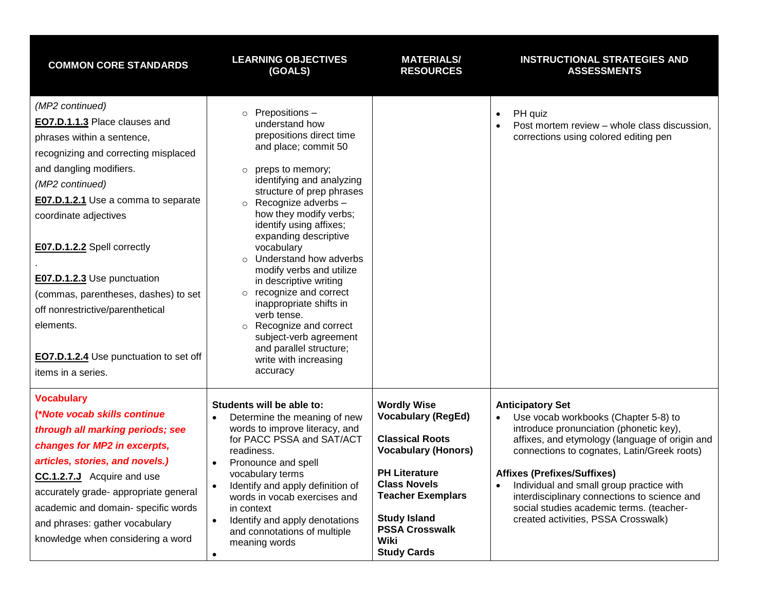| <b>COMMON CORE STANDARDS</b>                                                                                                                                                                                                                                                                                                                                                                                                                                              | <b>LEARNING OBJECTIVES</b><br>(GOALS)                                                                                                                                                                                                                                                                                                                                                                                                                                                                                                                                                     | <b>MATERIALS/</b><br><b>RESOURCES</b>                                                                                                                                                                                                                            | <b>INSTRUCTIONAL STRATEGIES AND</b><br><b>ASSESSMENTS</b>                                                                                                                                                                                                                                                                                                                                                                        |
|---------------------------------------------------------------------------------------------------------------------------------------------------------------------------------------------------------------------------------------------------------------------------------------------------------------------------------------------------------------------------------------------------------------------------------------------------------------------------|-------------------------------------------------------------------------------------------------------------------------------------------------------------------------------------------------------------------------------------------------------------------------------------------------------------------------------------------------------------------------------------------------------------------------------------------------------------------------------------------------------------------------------------------------------------------------------------------|------------------------------------------------------------------------------------------------------------------------------------------------------------------------------------------------------------------------------------------------------------------|----------------------------------------------------------------------------------------------------------------------------------------------------------------------------------------------------------------------------------------------------------------------------------------------------------------------------------------------------------------------------------------------------------------------------------|
| (MP2 continued)<br>EO7.D.1.1.3 Place clauses and<br>phrases within a sentence,<br>recognizing and correcting misplaced<br>and dangling modifiers.<br>(MP2 continued)<br><b>E07.D.1.2.1</b> Use a comma to separate<br>coordinate adjectives<br>E07.D.1.2.2 Spell correctly<br>E07.D.1.2.3 Use punctuation<br>(commas, parentheses, dashes) to set<br>off nonrestrictive/parenthetical<br>elements.<br><b>EO7.D.1.2.4</b> Use punctuation to set off<br>items in a series. | $\circ$ Prepositions –<br>understand how<br>prepositions direct time<br>and place; commit 50<br>$\circ$ preps to memory;<br>identifying and analyzing<br>structure of prep phrases<br>$\circ$ Recognize adverbs -<br>how they modify verbs;<br>identify using affixes;<br>expanding descriptive<br>vocabulary<br>o Understand how adverbs<br>modify verbs and utilize<br>in descriptive writing<br>o recognize and correct<br>inappropriate shifts in<br>verb tense.<br>o Recognize and correct<br>subject-verb agreement<br>and parallel structure;<br>write with increasing<br>accuracy |                                                                                                                                                                                                                                                                  | PH quiz<br>$\bullet$<br>Post mortem review - whole class discussion,<br>corrections using colored editing pen                                                                                                                                                                                                                                                                                                                    |
| <b>Vocabulary</b><br>(*Note vocab skills continue<br>through all marking periods; see<br>changes for MP2 in excerpts,<br>articles, stories, and novels.)<br><b>CC.1.2.7.J</b> Acquire and use<br>accurately grade- appropriate general<br>academic and domain- specific words<br>and phrases: gather vocabulary<br>knowledge when considering a word                                                                                                                      | Students will be able to:<br>Determine the meaning of new<br>$\bullet$<br>words to improve literacy, and<br>for PACC PSSA and SAT/ACT<br>readiness.<br>Pronounce and spell<br>$\bullet$<br>vocabulary terms<br>Identify and apply definition of<br>words in vocab exercises and<br>in context<br>Identify and apply denotations<br>$\bullet$<br>and connotations of multiple<br>meaning words<br>$\bullet$                                                                                                                                                                                | <b>Wordly Wise</b><br><b>Vocabulary (RegEd)</b><br><b>Classical Roots</b><br><b>Vocabulary (Honors)</b><br><b>PH Literature</b><br><b>Class Novels</b><br><b>Teacher Exemplars</b><br><b>Study Island</b><br><b>PSSA Crosswalk</b><br>Wiki<br><b>Study Cards</b> | <b>Anticipatory Set</b><br>Use vocab workbooks (Chapter 5-8) to<br>introduce pronunciation (phonetic key),<br>affixes, and etymology (language of origin and<br>connections to cognates, Latin/Greek roots)<br><b>Affixes (Prefixes/Suffixes)</b><br>Individual and small group practice with<br>interdisciplinary connections to science and<br>social studies academic terms. (teacher-<br>created activities, PSSA Crosswalk) |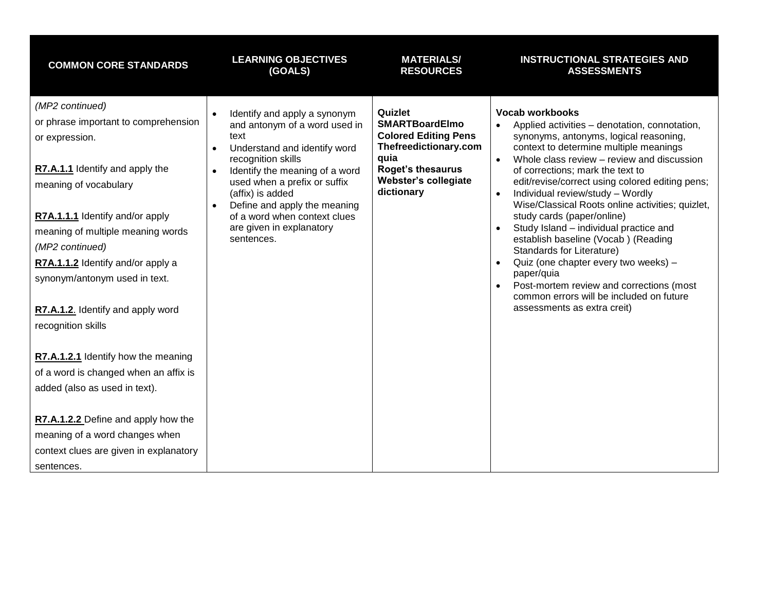| <b>COMMON CORE STANDARDS</b>                                                                                                                                                                                                                                                                                                                                      | <b>LEARNING OBJECTIVES</b><br>(GOALS)                                                                                                                                                                                                                                                                                                                 | <b>MATERIALS/</b><br><b>RESOURCES</b>                                                                                                                                     | <b>INSTRUCTIONAL STRATEGIES AND</b><br><b>ASSESSMENTS</b>                                                                                                                                                                                                                                                                                                                                                                                                                                                                                                                                                                                                                                                                                   |
|-------------------------------------------------------------------------------------------------------------------------------------------------------------------------------------------------------------------------------------------------------------------------------------------------------------------------------------------------------------------|-------------------------------------------------------------------------------------------------------------------------------------------------------------------------------------------------------------------------------------------------------------------------------------------------------------------------------------------------------|---------------------------------------------------------------------------------------------------------------------------------------------------------------------------|---------------------------------------------------------------------------------------------------------------------------------------------------------------------------------------------------------------------------------------------------------------------------------------------------------------------------------------------------------------------------------------------------------------------------------------------------------------------------------------------------------------------------------------------------------------------------------------------------------------------------------------------------------------------------------------------------------------------------------------------|
| (MP2 continued)<br>or phrase important to comprehension<br>or expression.<br>R7.A.1.1 Identify and apply the<br>meaning of vocabulary<br>R7A.1.1.1 Identify and/or apply<br>meaning of multiple meaning words<br>(MP2 continued)<br>R7A.1.1.2 Identify and/or apply a<br>synonym/antonym used in text.<br>R7.A.1.2. Identify and apply word<br>recognition skills | Identify and apply a synonym<br>and antonym of a word used in<br>text<br>Understand and identify word<br>$\bullet$<br>recognition skills<br>Identify the meaning of a word<br>used when a prefix or suffix<br>(affix) is added<br>Define and apply the meaning<br>$\bullet$<br>of a word when context clues<br>are given in explanatory<br>sentences. | Quizlet<br><b>SMARTBoardElmo</b><br><b>Colored Editing Pens</b><br>Thefreedictionary.com<br>quia<br><b>Roget's thesaurus</b><br><b>Webster's collegiate</b><br>dictionary | <b>Vocab workbooks</b><br>Applied activities - denotation, connotation,<br>$\bullet$<br>synonyms, antonyms, logical reasoning,<br>context to determine multiple meanings<br>Whole class review - review and discussion<br>$\bullet$<br>of corrections; mark the text to<br>edit/revise/correct using colored editing pens;<br>Individual review/study - Wordly<br>Wise/Classical Roots online activities; quizlet,<br>study cards (paper/online)<br>Study Island - individual practice and<br>establish baseline (Vocab) (Reading<br>Standards for Literature)<br>Quiz (one chapter every two weeks) -<br>paper/quia<br>Post-mortem review and corrections (most<br>common errors will be included on future<br>assessments as extra creit) |
| R7.A.1.2.1 Identify how the meaning<br>of a word is changed when an affix is<br>added (also as used in text).                                                                                                                                                                                                                                                     |                                                                                                                                                                                                                                                                                                                                                       |                                                                                                                                                                           |                                                                                                                                                                                                                                                                                                                                                                                                                                                                                                                                                                                                                                                                                                                                             |
| R7.A.1.2.2 Define and apply how the<br>meaning of a word changes when<br>context clues are given in explanatory<br>sentences.                                                                                                                                                                                                                                     |                                                                                                                                                                                                                                                                                                                                                       |                                                                                                                                                                           |                                                                                                                                                                                                                                                                                                                                                                                                                                                                                                                                                                                                                                                                                                                                             |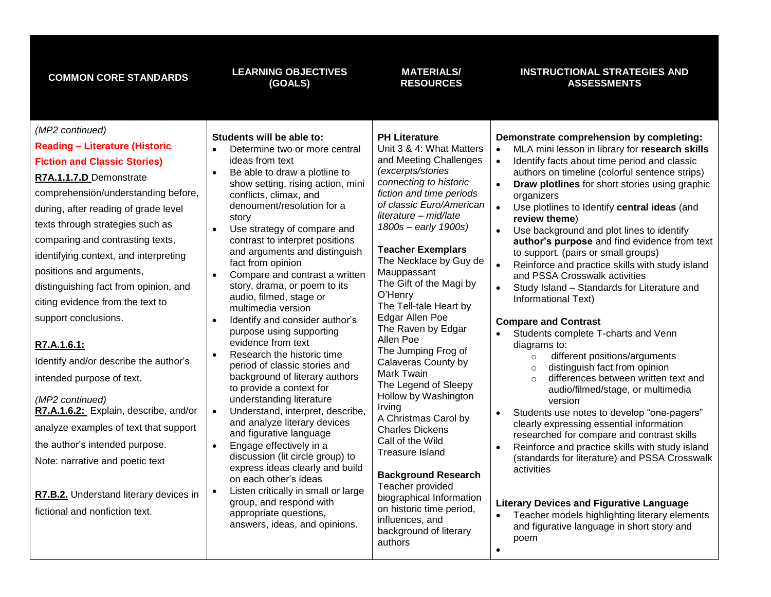#### **COMMON CORE STANDARDS LEARNING OBJECTIVES (GOALS)**



#### **INSTRUCTIONAL STRATEGIES AND ASSESSMENTS**

*(MP2 continued)*

## **Reading – Literature (Historic Fiction and Classic Stories)**

# **R7A.1.1.7.D** Demonstrate

comprehension/understanding before, during, after reading of grade level texts through strategies such as comparing and contrasting texts, identifying context, and interpreting positions and arguments, distinguishing fact from opinion, and citing evidence from the text to support conclusions.

# **R7.A.1.6.1:**

Identify and/or describe the author's intended purpose of text.

| (MP2 continued)<br>R7.A.1.6.2: Explain, describe, and/or |
|----------------------------------------------------------|
| analyze examples of text that support                    |
| the author's intended purpose.                           |
| Note: narrative and poetic text                          |
|                                                          |
| <b>R7.B.2.</b> Understand literary devices in            |
| fictional and nonfiction text.                           |
|                                                          |

## **Students will be able to:**

#### • Determine two or more central ideas from text

- Be able to draw a plotline to show setting, rising action, mini conflicts, climax, and denoument/resolution for a story
- Use strategy of compare and contrast to interpret positions and arguments and distinguish fact from opinion
- Compare and contrast a written story, drama, or poem to its audio, filmed, stage or multimedia version
- Identify and consider author's purpose using supporting evidence from text
- Research the historic time period of classic stories and background of literary authors to provide a context for understanding literature
	- Understand, interpret, describe, and analyze literary devices and figurative language
	- Engage effectively in a discussion (lit circle group) to express ideas clearly and build on each other's ideas
- Listen critically in small or large group, and respond with appropriate questions, answers, ideas, and opinions.

# **PH Literature**

### Unit 3 & 4: What Matters and Meeting Challenges *(excerpts/stories*

*connecting to historic fiction and time periods of classic Euro/American literature – mid/late 1800s – early 1900s)*

# **Teacher Exemplars**

The Necklace by Guy de Mauppassant The Gift of the Magi by

O'Henry The Tell-tale Heart by Edgar Allen Poe The Raven by Edgar Allen Poe

The Jumping Frog of Calaveras County by Mark Twain The Legend of Sleepy

Hollow by Washington Irving A Christmas Carol by

Charles Dickens Call of the Wild Treasure Island

# **Background Research**

Teacher provided biographical Information on historic time period, influences, and background of literary authors

 $\bullet$ 

# **Demonstrate comprehension by completing:**

- MLA mini lesson in library for **research skills**
- Identify facts about time period and classic authors on timeline (colorful sentence strips)
- **Draw plotlines** for short stories using graphic organizers
- Use plotlines to Identify **central ideas** (and **review theme**)
- Use background and plot lines to identify **author's purpose** and find evidence from text to support. (pairs or small groups)
- Reinforce and practice skills with study island and PSSA Crosswalk activities
- Study Island Standards for Literature and Informational Text)

# **Compare and Contrast**

- Students complete T-charts and Venn diagrams to:
	- o different positions/arguments
	- o distinguish fact from opinion
	- o differences between written text and audio/filmed/stage, or multimedia version
- Students use notes to develop "one-pagers" clearly expressing essential information researched for compare and contrast skills
- Reinforce and practice skills with study island (standards for literature) and PSSA Crosswalk activities

## **Literary Devices and Figurative Language**

• Teacher models highlighting literary elements and figurative language in short story and poem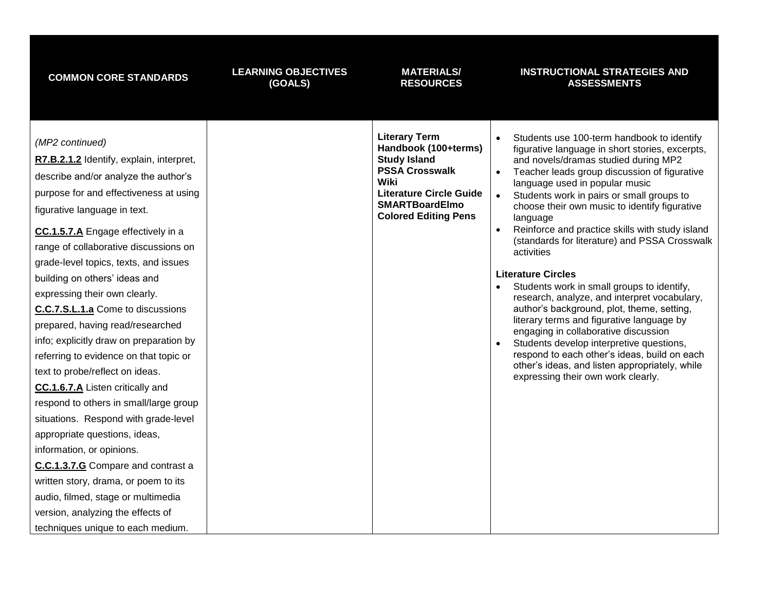| <b>COMMON CORE STANDARDS</b>                                                                                                                                                                                                                                                                                                                                                                                                                                                                                                                                                                                                                                                                                                                                                                              | <b>LEARNING OBJECTIVES</b><br>(GOALS) | <b>MATERIALS/</b><br><b>RESOURCES</b>                                                                                                                                                                 | <b>INSTRUCTIONAL STRATEGIES AND</b><br><b>ASSESSMENTS</b>                                                                                                                                                                                                                                                                                                                                                                                                                                                                                                                                                                                                                                                                                                                                                                                                                                                                                                 |
|-----------------------------------------------------------------------------------------------------------------------------------------------------------------------------------------------------------------------------------------------------------------------------------------------------------------------------------------------------------------------------------------------------------------------------------------------------------------------------------------------------------------------------------------------------------------------------------------------------------------------------------------------------------------------------------------------------------------------------------------------------------------------------------------------------------|---------------------------------------|-------------------------------------------------------------------------------------------------------------------------------------------------------------------------------------------------------|-----------------------------------------------------------------------------------------------------------------------------------------------------------------------------------------------------------------------------------------------------------------------------------------------------------------------------------------------------------------------------------------------------------------------------------------------------------------------------------------------------------------------------------------------------------------------------------------------------------------------------------------------------------------------------------------------------------------------------------------------------------------------------------------------------------------------------------------------------------------------------------------------------------------------------------------------------------|
| (MP2 continued)<br>R7.B.2.1.2 Identify, explain, interpret,<br>describe and/or analyze the author's<br>purpose for and effectiveness at using<br>figurative language in text.<br><b>CC.1.5.7.A</b> Engage effectively in a<br>range of collaborative discussions on<br>grade-level topics, texts, and issues<br>building on others' ideas and<br>expressing their own clearly.<br>C.C.7.S.L.1.a Come to discussions<br>prepared, having read/researched<br>info; explicitly draw on preparation by<br>referring to evidence on that topic or<br>text to probe/reflect on ideas.<br>CC.1.6.7.A Listen critically and<br>respond to others in small/large group<br>situations. Respond with grade-level<br>appropriate questions, ideas,<br>information, or opinions.<br>C.C.1.3.7.G Compare and contrast a |                                       | <b>Literary Term</b><br>Handbook (100+terms)<br><b>Study Island</b><br><b>PSSA Crosswalk</b><br><b>Wiki</b><br><b>Literature Circle Guide</b><br><b>SMARTBoardElmo</b><br><b>Colored Editing Pens</b> | Students use 100-term handbook to identify<br>figurative language in short stories, excerpts,<br>and novels/dramas studied during MP2<br>Teacher leads group discussion of figurative<br>$\bullet$<br>language used in popular music<br>Students work in pairs or small groups to<br>choose their own music to identify figurative<br>language<br>Reinforce and practice skills with study island<br>$\bullet$<br>(standards for literature) and PSSA Crosswalk<br>activities<br><b>Literature Circles</b><br>Students work in small groups to identify,<br>$\bullet$<br>research, analyze, and interpret vocabulary,<br>author's background, plot, theme, setting,<br>literary terms and figurative language by<br>engaging in collaborative discussion<br>Students develop interpretive questions,<br>$\bullet$<br>respond to each other's ideas, build on each<br>other's ideas, and listen appropriately, while<br>expressing their own work clearly. |
| written story, drama, or poem to its<br>audio, filmed, stage or multimedia                                                                                                                                                                                                                                                                                                                                                                                                                                                                                                                                                                                                                                                                                                                                |                                       |                                                                                                                                                                                                       |                                                                                                                                                                                                                                                                                                                                                                                                                                                                                                                                                                                                                                                                                                                                                                                                                                                                                                                                                           |
| version, analyzing the effects of<br>techniques unique to each medium.                                                                                                                                                                                                                                                                                                                                                                                                                                                                                                                                                                                                                                                                                                                                    |                                       |                                                                                                                                                                                                       |                                                                                                                                                                                                                                                                                                                                                                                                                                                                                                                                                                                                                                                                                                                                                                                                                                                                                                                                                           |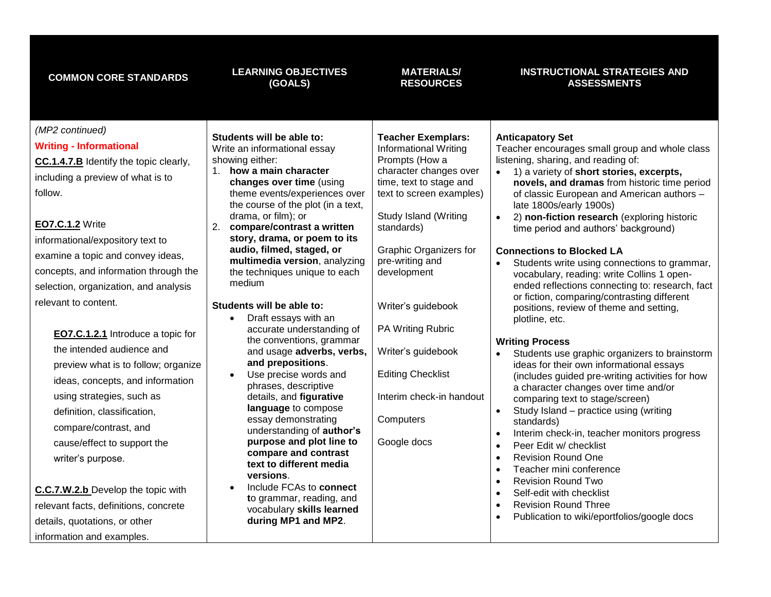#### **COMMON CORE STANDARDS LEARNING OBJECTIVES (GOALS)**



#### **INSTRUCTIONAL STRATEGIES AND ASSESSMENTS**

| (MP2 continued)<br>Students will be able to:<br><b>Teacher Exemplars:</b><br><b>Anticapatory Set</b><br><b>Writing - Informational</b><br><b>Informational Writing</b><br>Teacher encourages small group and whole class<br>Write an informational essay<br>Prompts (How a<br>listening, sharing, and reading of:<br>showing either:<br><b>CC.1.4.7.B</b> Identify the topic clearly, |  |
|---------------------------------------------------------------------------------------------------------------------------------------------------------------------------------------------------------------------------------------------------------------------------------------------------------------------------------------------------------------------------------------|--|
|                                                                                                                                                                                                                                                                                                                                                                                       |  |
|                                                                                                                                                                                                                                                                                                                                                                                       |  |
|                                                                                                                                                                                                                                                                                                                                                                                       |  |
| 1. how a main character<br>character changes over<br>1) a variety of short stories, excerpts,<br>including a preview of what is to                                                                                                                                                                                                                                                    |  |
| changes over time (using<br>time, text to stage and<br>novels, and dramas from historic time period<br>follow.<br>theme events/experiences over<br>text to screen examples)<br>of classic European and American authors -                                                                                                                                                             |  |
| the course of the plot (in a text,<br>late 1800s/early 1900s)                                                                                                                                                                                                                                                                                                                         |  |
| drama, or film); or<br>Study Island (Writing<br>2) non-fiction research (exploring historic                                                                                                                                                                                                                                                                                           |  |
| <b>EO7.C.1.2 Write</b><br>compare/contrast a written<br>standards)<br>2.<br>time period and authors' background)                                                                                                                                                                                                                                                                      |  |
| story, drama, or poem to its<br>informational/expository text to<br>audio, filmed, staged, or<br>Graphic Organizers for<br><b>Connections to Blocked LA</b>                                                                                                                                                                                                                           |  |
| examine a topic and convey ideas,<br>multimedia version, analyzing<br>pre-writing and<br>Students write using connections to grammar,                                                                                                                                                                                                                                                 |  |
| concepts, and information through the<br>the techniques unique to each<br>development<br>vocabulary, reading: write Collins 1 open-                                                                                                                                                                                                                                                   |  |
| medium<br>ended reflections connecting to: research, fact<br>selection, organization, and analysis                                                                                                                                                                                                                                                                                    |  |
| or fiction, comparing/contrasting different<br>relevant to content.<br>Students will be able to:<br>Writer's guidebook<br>positions, review of theme and setting,                                                                                                                                                                                                                     |  |
| Draft essays with an<br>plotline, etc.                                                                                                                                                                                                                                                                                                                                                |  |
| PA Writing Rubric<br>accurate understanding of<br><b>EO7.C.1.2.1</b> Introduce a topic for                                                                                                                                                                                                                                                                                            |  |
| the conventions, grammar<br><b>Writing Process</b><br>the intended audience and<br>and usage adverbs, verbs,<br>Writer's guidebook                                                                                                                                                                                                                                                    |  |
| Students use graphic organizers to brainstorm<br>$\bullet$<br>and prepositions.<br>ideas for their own informational essays<br>preview what is to follow; organize                                                                                                                                                                                                                    |  |
| <b>Editing Checklist</b><br>Use precise words and<br>(includes guided pre-writing activities for how                                                                                                                                                                                                                                                                                  |  |
| ideas, concepts, and information<br>phrases, descriptive<br>a character changes over time and/or                                                                                                                                                                                                                                                                                      |  |
| using strategies, such as<br>Interim check-in handout<br>details, and figurative<br>comparing text to stage/screen)<br>language to compose                                                                                                                                                                                                                                            |  |
| Study Island - practice using (writing<br>$\bullet$<br>definition, classification,<br>Computers<br>essay demonstrating<br>standards)                                                                                                                                                                                                                                                  |  |
| compare/contrast, and<br>understanding of author's<br>Interim check-in, teacher monitors progress<br>$\bullet$                                                                                                                                                                                                                                                                        |  |
| purpose and plot line to<br>Google docs<br>cause/effect to support the<br>Peer Edit w/ checklist<br>$\bullet$                                                                                                                                                                                                                                                                         |  |
| compare and contrast<br><b>Revision Round One</b><br>writer's purpose.<br>$\bullet$<br>text to different media                                                                                                                                                                                                                                                                        |  |
| Teacher mini conference<br>$\bullet$<br>versions.                                                                                                                                                                                                                                                                                                                                     |  |
| <b>Revision Round Two</b><br>$\bullet$<br>Include FCAs to connect<br>C.C.7.W.2.b Develop the topic with<br>Self-edit with checklist<br>$\bullet$                                                                                                                                                                                                                                      |  |
| to grammar, reading, and<br><b>Revision Round Three</b><br>relevant facts, definitions, concrete<br>$\bullet$                                                                                                                                                                                                                                                                         |  |
| vocabulary skills learned<br>Publication to wiki/eportfolios/google docs<br>$\bullet$<br>during MP1 and MP2.<br>details, quotations, or other                                                                                                                                                                                                                                         |  |
| information and examples.                                                                                                                                                                                                                                                                                                                                                             |  |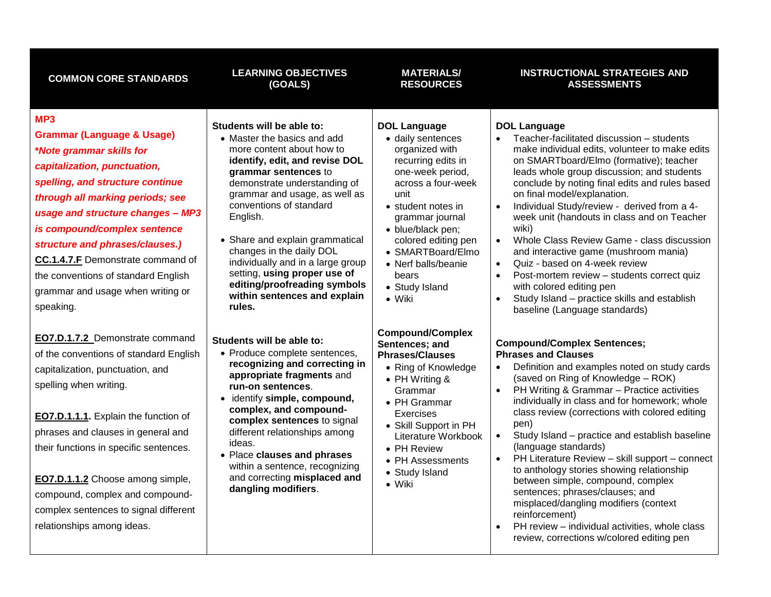| <b>COMMON CORE STANDARDS</b>                                                                                                                                                                                                                                                                                                                                                                                                       | <b>LEARNING OBJECTIVES</b><br>(GOALS)                                                                                                                                                                                                                                                                                                                                                                                                                                 | <b>MATERIALS/</b><br><b>RESOURCES</b>                                                                                                                                                                                                                                                                            | <b>INSTRUCTIONAL STRATEGIES AND</b><br><b>ASSESSMENTS</b>                                                                                                                                                                                                                                                                                                                                                                                                                                                                                                                                                                                                                                                                                                         |
|------------------------------------------------------------------------------------------------------------------------------------------------------------------------------------------------------------------------------------------------------------------------------------------------------------------------------------------------------------------------------------------------------------------------------------|-----------------------------------------------------------------------------------------------------------------------------------------------------------------------------------------------------------------------------------------------------------------------------------------------------------------------------------------------------------------------------------------------------------------------------------------------------------------------|------------------------------------------------------------------------------------------------------------------------------------------------------------------------------------------------------------------------------------------------------------------------------------------------------------------|-------------------------------------------------------------------------------------------------------------------------------------------------------------------------------------------------------------------------------------------------------------------------------------------------------------------------------------------------------------------------------------------------------------------------------------------------------------------------------------------------------------------------------------------------------------------------------------------------------------------------------------------------------------------------------------------------------------------------------------------------------------------|
| MP <sub>3</sub><br><b>Grammar (Language &amp; Usage)</b><br>*Note grammar skills for<br>capitalization, punctuation,<br>spelling, and structure continue<br>through all marking periods; see<br>usage and structure changes - MP3<br>is compound/complex sentence<br>structure and phrases/clauses.)<br>CC.1.4.7.F Demonstrate command of<br>the conventions of standard English<br>grammar and usage when writing or<br>speaking. | Students will be able to:<br>• Master the basics and add<br>more content about how to<br>identify, edit, and revise DOL<br>grammar sentences to<br>demonstrate understanding of<br>grammar and usage, as well as<br>conventions of standard<br>English.<br>• Share and explain grammatical<br>changes in the daily DOL<br>individually and in a large group<br>setting, using proper use of<br>editing/proofreading symbols<br>within sentences and explain<br>rules. | <b>DOL Language</b><br>· daily sentences<br>organized with<br>recurring edits in<br>one-week period,<br>across a four-week<br>unit<br>• student notes in<br>grammar journal<br>· blue/black pen;<br>colored editing pen<br>• SMARTBoard/Elmo<br>• Nerf balls/beanie<br>bears<br>• Study Island<br>$\bullet$ Wiki | <b>DOL Language</b><br>Teacher-facilitated discussion - students<br>make individual edits, volunteer to make edits<br>on SMARTboard/Elmo (formative); teacher<br>leads whole group discussion; and students<br>conclude by noting final edits and rules based<br>on final model/explanation.<br>Individual Study/review - derived from a 4-<br>$\bullet$<br>week unit (handouts in class and on Teacher<br>wiki)<br>$\bullet$<br>Whole Class Review Game - class discussion<br>and interactive game (mushroom mania)<br>Quiz - based on 4-week review<br>$\bullet$<br>Post-mortem review - students correct quiz<br>$\bullet$<br>with colored editing pen<br>Study Island - practice skills and establish<br>baseline (Language standards)                        |
| EO7.D.1.7.2 Demonstrate command<br>of the conventions of standard English<br>capitalization, punctuation, and<br>spelling when writing.<br>EO7.D.1.1.1. Explain the function of<br>phrases and clauses in general and<br>their functions in specific sentences.<br>EO7.D.1.1.2 Choose among simple,<br>compound, complex and compound-<br>complex sentences to signal different<br>relationships among ideas.                      | Students will be able to:<br>• Produce complete sentences,<br>recognizing and correcting in<br>appropriate fragments and<br>run-on sentences.<br>identify simple, compound,<br>complex, and compound-<br>complex sentences to signal<br>different relationships among<br>ideas.<br>• Place clauses and phrases<br>within a sentence, recognizing<br>and correcting misplaced and<br>dangling modifiers.                                                               | <b>Compound/Complex</b><br>Sentences; and<br><b>Phrases/Clauses</b><br>• Ring of Knowledge<br>• PH Writing &<br>Grammar<br>• PH Grammar<br><b>Exercises</b><br>• Skill Support in PH<br>Literature Workbook<br>• PH Review<br>• PH Assessments<br>• Study Island<br>• Wiki                                       | <b>Compound/Complex Sentences;</b><br><b>Phrases and Clauses</b><br>Definition and examples noted on study cards<br>(saved on Ring of Knowledge - ROK)<br>PH Writing & Grammar - Practice activities<br>$\bullet$<br>individually in class and for homework; whole<br>class review (corrections with colored editing<br>pen)<br>Study Island - practice and establish baseline<br>$\bullet$<br>(language standards)<br>PH Literature Review - skill support - connect<br>to anthology stories showing relationship<br>between simple, compound, complex<br>sentences; phrases/clauses; and<br>misplaced/dangling modifiers (context<br>reinforcement)<br>PH review - individual activities, whole class<br>$\bullet$<br>review, corrections w/colored editing pen |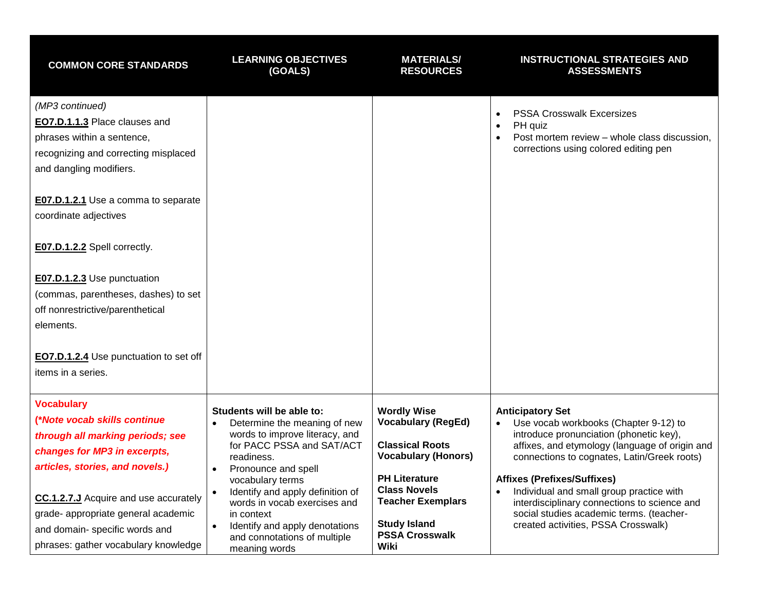| <b>COMMON CORE STANDARDS</b>                                                                                                                                                                                                                                                                                              | <b>LEARNING OBJECTIVES</b><br>(GOALS)                                                                                                                                                                                                                                                                                                                                                         | <b>MATERIALS/</b><br><b>RESOURCES</b>                                                                                                                                                                                                      | <b>INSTRUCTIONAL STRATEGIES AND</b><br><b>ASSESSMENTS</b>                                                                                                                                                                                                                                                                                                                                                                                      |
|---------------------------------------------------------------------------------------------------------------------------------------------------------------------------------------------------------------------------------------------------------------------------------------------------------------------------|-----------------------------------------------------------------------------------------------------------------------------------------------------------------------------------------------------------------------------------------------------------------------------------------------------------------------------------------------------------------------------------------------|--------------------------------------------------------------------------------------------------------------------------------------------------------------------------------------------------------------------------------------------|------------------------------------------------------------------------------------------------------------------------------------------------------------------------------------------------------------------------------------------------------------------------------------------------------------------------------------------------------------------------------------------------------------------------------------------------|
| (MP3 continued)<br>EO7.D.1.1.3 Place clauses and<br>phrases within a sentence,<br>recognizing and correcting misplaced<br>and dangling modifiers.                                                                                                                                                                         |                                                                                                                                                                                                                                                                                                                                                                                               |                                                                                                                                                                                                                                            | <b>PSSA Crosswalk Excersizes</b><br>PH quiz<br>$\bullet$<br>Post mortem review - whole class discussion,<br>$\bullet$<br>corrections using colored editing pen                                                                                                                                                                                                                                                                                 |
| <b>E07.D.1.2.1</b> Use a comma to separate<br>coordinate adjectives                                                                                                                                                                                                                                                       |                                                                                                                                                                                                                                                                                                                                                                                               |                                                                                                                                                                                                                                            |                                                                                                                                                                                                                                                                                                                                                                                                                                                |
| E07.D.1.2.2 Spell correctly.                                                                                                                                                                                                                                                                                              |                                                                                                                                                                                                                                                                                                                                                                                               |                                                                                                                                                                                                                                            |                                                                                                                                                                                                                                                                                                                                                                                                                                                |
| E07.D.1.2.3 Use punctuation<br>(commas, parentheses, dashes) to set<br>off nonrestrictive/parenthetical<br>elements.<br><b>EO7.D.1.2.4</b> Use punctuation to set off<br>items in a series.                                                                                                                               |                                                                                                                                                                                                                                                                                                                                                                                               |                                                                                                                                                                                                                                            |                                                                                                                                                                                                                                                                                                                                                                                                                                                |
| <b>Vocabulary</b><br>(*Note vocab skills continue<br>through all marking periods; see<br>changes for MP3 in excerpts,<br>articles, stories, and novels.)<br><b>CC.1.2.7.J</b> Acquire and use accurately<br>grade- appropriate general academic<br>and domain- specific words and<br>phrases: gather vocabulary knowledge | Students will be able to:<br>Determine the meaning of new<br>$\bullet$<br>words to improve literacy, and<br>for PACC PSSA and SAT/ACT<br>readiness.<br>Pronounce and spell<br>$\bullet$<br>vocabulary terms<br>Identify and apply definition of<br>words in vocab exercises and<br>in context<br>Identify and apply denotations<br>$\bullet$<br>and connotations of multiple<br>meaning words | <b>Wordly Wise</b><br><b>Vocabulary (RegEd)</b><br><b>Classical Roots</b><br><b>Vocabulary (Honors)</b><br><b>PH Literature</b><br><b>Class Novels</b><br><b>Teacher Exemplars</b><br><b>Study Island</b><br><b>PSSA Crosswalk</b><br>Wiki | <b>Anticipatory Set</b><br>Use vocab workbooks (Chapter 9-12) to<br>$\bullet$<br>introduce pronunciation (phonetic key),<br>affixes, and etymology (language of origin and<br>connections to cognates, Latin/Greek roots)<br><b>Affixes (Prefixes/Suffixes)</b><br>Individual and small group practice with<br>interdisciplinary connections to science and<br>social studies academic terms. (teacher-<br>created activities, PSSA Crosswalk) |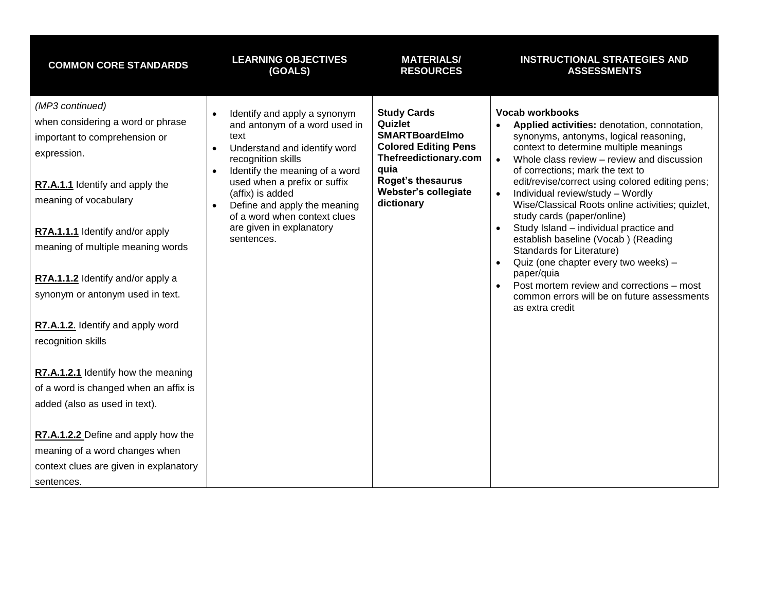| <b>COMMON CORE STANDARDS</b>                                                                                                                                                                                                                                                                                                                                                                                                                                                                                                                                                                                     | <b>LEARNING OBJECTIVES</b><br>(GOALS)                                                                                                                                                                                                                                                                                                    | <b>MATERIALS/</b><br><b>RESOURCES</b>                                                                                                                                                    | <b>INSTRUCTIONAL STRATEGIES AND</b><br><b>ASSESSMENTS</b>                                                                                                                                                                                                                                                                                                                                                                                                                                                                                                                                                                                                                                                |
|------------------------------------------------------------------------------------------------------------------------------------------------------------------------------------------------------------------------------------------------------------------------------------------------------------------------------------------------------------------------------------------------------------------------------------------------------------------------------------------------------------------------------------------------------------------------------------------------------------------|------------------------------------------------------------------------------------------------------------------------------------------------------------------------------------------------------------------------------------------------------------------------------------------------------------------------------------------|------------------------------------------------------------------------------------------------------------------------------------------------------------------------------------------|----------------------------------------------------------------------------------------------------------------------------------------------------------------------------------------------------------------------------------------------------------------------------------------------------------------------------------------------------------------------------------------------------------------------------------------------------------------------------------------------------------------------------------------------------------------------------------------------------------------------------------------------------------------------------------------------------------|
| (MP3 continued)<br>when considering a word or phrase<br>important to comprehension or<br>expression.<br>R7.A.1.1 Identify and apply the<br>meaning of vocabulary<br>R7A.1.1.1 Identify and/or apply<br>meaning of multiple meaning words<br>R7A.1.1.2 Identify and/or apply a<br>synonym or antonym used in text.<br>R7.A.1.2. Identify and apply word<br>recognition skills<br>R7.A.1.2.1 Identify how the meaning<br>of a word is changed when an affix is<br>added (also as used in text).<br>R7.A.1.2.2 Define and apply how the<br>meaning of a word changes when<br>context clues are given in explanatory | Identify and apply a synonym<br>and antonym of a word used in<br>text<br>Understand and identify word<br>recognition skills<br>Identify the meaning of a word<br>$\bullet$<br>used when a prefix or suffix<br>(affix) is added<br>Define and apply the meaning<br>of a word when context clues<br>are given in explanatory<br>sentences. | <b>Study Cards</b><br>Quizlet<br><b>SMARTBoardElmo</b><br><b>Colored Editing Pens</b><br>Thefreedictionary.com<br>quia<br><b>Roget's thesaurus</b><br>Webster's collegiate<br>dictionary | <b>Vocab workbooks</b><br>Applied activities: denotation, connotation,<br>synonyms, antonyms, logical reasoning,<br>context to determine multiple meanings<br>Whole class review - review and discussion<br>of corrections; mark the text to<br>edit/revise/correct using colored editing pens;<br>Individual review/study - Wordly<br>Wise/Classical Roots online activities; quizlet,<br>study cards (paper/online)<br>Study Island - individual practice and<br>establish baseline (Vocab) (Reading<br>Standards for Literature)<br>Quiz (one chapter every two weeks) -<br>paper/quia<br>Post mortem review and corrections - most<br>common errors will be on future assessments<br>as extra credit |
| sentences.                                                                                                                                                                                                                                                                                                                                                                                                                                                                                                                                                                                                       |                                                                                                                                                                                                                                                                                                                                          |                                                                                                                                                                                          |                                                                                                                                                                                                                                                                                                                                                                                                                                                                                                                                                                                                                                                                                                          |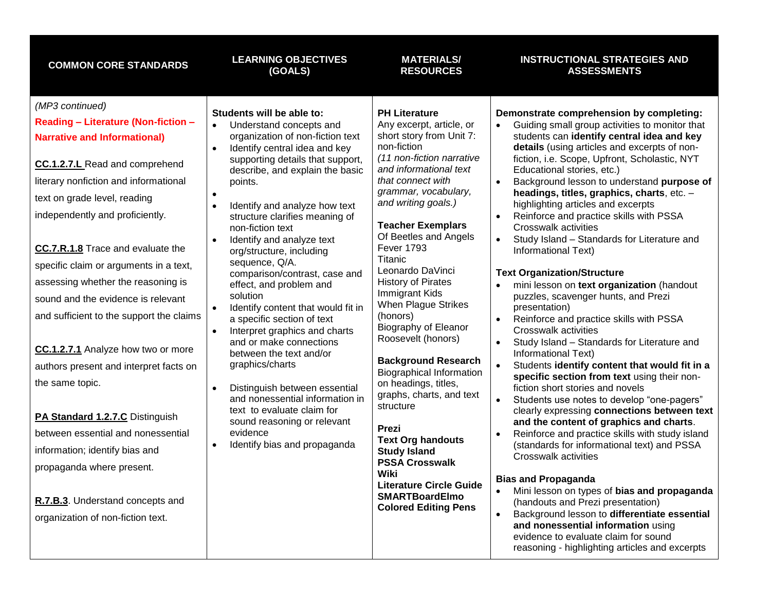| <b>COMMON CORE STANDARDS</b>                                                                                                                                                                                                                                                                                                                                                                                                                                                                                                                                                                                                                                                                                                                                                  | <b>LEARNING OBJECTIVES</b><br>(GOALS)                                                                                                                                                                                                                                                                                                                                                                                                                                                                                                                                                                                                                                                                                                                                                                                                                                                                       | <b>MATERIALS/</b><br><b>RESOURCES</b>                                                                                                                                                                                                                                                                                                                                                                                                                                                                                                                                                                                                                                                                                                                                                                         | <b>INSTRUCTIONAL STRATEGIES AND</b><br><b>ASSESSMENTS</b>                                                                                                                                                                                                                                                                                                                                                                                                                                                                                                                                                                                                                                                                                                                                                                                                                                                                                                                                                                                                                                                                                                                                                                                                                                                                                                                                                                                                                                                                                                                                             |
|-------------------------------------------------------------------------------------------------------------------------------------------------------------------------------------------------------------------------------------------------------------------------------------------------------------------------------------------------------------------------------------------------------------------------------------------------------------------------------------------------------------------------------------------------------------------------------------------------------------------------------------------------------------------------------------------------------------------------------------------------------------------------------|-------------------------------------------------------------------------------------------------------------------------------------------------------------------------------------------------------------------------------------------------------------------------------------------------------------------------------------------------------------------------------------------------------------------------------------------------------------------------------------------------------------------------------------------------------------------------------------------------------------------------------------------------------------------------------------------------------------------------------------------------------------------------------------------------------------------------------------------------------------------------------------------------------------|---------------------------------------------------------------------------------------------------------------------------------------------------------------------------------------------------------------------------------------------------------------------------------------------------------------------------------------------------------------------------------------------------------------------------------------------------------------------------------------------------------------------------------------------------------------------------------------------------------------------------------------------------------------------------------------------------------------------------------------------------------------------------------------------------------------|-------------------------------------------------------------------------------------------------------------------------------------------------------------------------------------------------------------------------------------------------------------------------------------------------------------------------------------------------------------------------------------------------------------------------------------------------------------------------------------------------------------------------------------------------------------------------------------------------------------------------------------------------------------------------------------------------------------------------------------------------------------------------------------------------------------------------------------------------------------------------------------------------------------------------------------------------------------------------------------------------------------------------------------------------------------------------------------------------------------------------------------------------------------------------------------------------------------------------------------------------------------------------------------------------------------------------------------------------------------------------------------------------------------------------------------------------------------------------------------------------------------------------------------------------------------------------------------------------------|
| (MP3 continued)<br>Reading - Literature (Non-fiction -<br><b>Narrative and Informational)</b><br><b>CC.1.2.7.L</b> Read and comprehend<br>literary nonfiction and informational<br>text on grade level, reading<br>independently and proficiently.<br>CC.7.R.1.8 Trace and evaluate the<br>specific claim or arguments in a text,<br>assessing whether the reasoning is<br>sound and the evidence is relevant<br>and sufficient to the support the claims<br>CC.1.2.7.1 Analyze how two or more<br>authors present and interpret facts on<br>the same topic.<br>PA Standard 1.2.7.C Distinguish<br>between essential and nonessential<br>information; identify bias and<br>propaganda where present.<br>R.7.B.3. Understand concepts and<br>organization of non-fiction text. | Students will be able to:<br>Understand concepts and<br>$\bullet$<br>organization of non-fiction text<br>Identify central idea and key<br>$\bullet$<br>supporting details that support,<br>describe, and explain the basic<br>points.<br>$\bullet$<br>Identify and analyze how text<br>$\bullet$<br>structure clarifies meaning of<br>non-fiction text<br>Identify and analyze text<br>org/structure, including<br>sequence, Q/A.<br>comparison/contrast, case and<br>effect, and problem and<br>solution<br>Identify content that would fit in<br>a specific section of text<br>Interpret graphics and charts<br>$\bullet$<br>and or make connections<br>between the text and/or<br>graphics/charts<br>Distinguish between essential<br>$\bullet$<br>and nonessential information in<br>text to evaluate claim for<br>sound reasoning or relevant<br>evidence<br>Identify bias and propaganda<br>$\bullet$ | <b>PH Literature</b><br>Any excerpt, article, or<br>short story from Unit 7:<br>non-fiction<br>(11 non-fiction narrative<br>and informational text<br>that connect with<br>grammar, vocabulary,<br>and writing goals.)<br><b>Teacher Exemplars</b><br>Of Beetles and Angels<br><b>Fever 1793</b><br><b>Titanic</b><br>Leonardo DaVinci<br><b>History of Pirates</b><br><b>Immigrant Kids</b><br>When Plague Strikes<br>(honors)<br>Biography of Eleanor<br>Roosevelt (honors)<br><b>Background Research</b><br><b>Biographical Information</b><br>on headings, titles,<br>graphs, charts, and text<br>structure<br><b>Prezi</b><br><b>Text Org handouts</b><br><b>Study Island</b><br><b>PSSA Crosswalk</b><br>Wiki<br><b>Literature Circle Guide</b><br><b>SMARTBoardElmo</b><br><b>Colored Editing Pens</b> | Demonstrate comprehension by completing:<br>Guiding small group activities to monitor that<br>$\bullet$<br>students can identify central idea and key<br>details (using articles and excerpts of non-<br>fiction, i.e. Scope, Upfront, Scholastic, NYT<br>Educational stories, etc.)<br>Background lesson to understand purpose of<br>$\bullet$<br>headings, titles, graphics, charts, etc. -<br>highlighting articles and excerpts<br>Reinforce and practice skills with PSSA<br><b>Crosswalk activities</b><br>Study Island - Standards for Literature and<br>$\bullet$<br>Informational Text)<br><b>Text Organization/Structure</b><br>mini lesson on text organization (handout<br>puzzles, scavenger hunts, and Prezi<br>presentation)<br>Reinforce and practice skills with PSSA<br>$\bullet$<br>Crosswalk activities<br>Study Island - Standards for Literature and<br>$\bullet$<br>Informational Text)<br>Students identify content that would fit in a<br>specific section from text using their non-<br>fiction short stories and novels<br>Students use notes to develop "one-pagers"<br>$\bullet$<br>clearly expressing connections between text<br>and the content of graphics and charts.<br>Reinforce and practice skills with study island<br>$\bullet$<br>(standards for informational text) and PSSA<br><b>Crosswalk activities</b><br><b>Bias and Propaganda</b><br>Mini lesson on types of bias and propaganda<br>(handouts and Prezi presentation)<br>Background lesson to differentiate essential<br>and nonessential information using<br>evidence to evaluate claim for sound |
|                                                                                                                                                                                                                                                                                                                                                                                                                                                                                                                                                                                                                                                                                                                                                                               |                                                                                                                                                                                                                                                                                                                                                                                                                                                                                                                                                                                                                                                                                                                                                                                                                                                                                                             |                                                                                                                                                                                                                                                                                                                                                                                                                                                                                                                                                                                                                                                                                                                                                                                                               | reasoning - highlighting articles and excerpts                                                                                                                                                                                                                                                                                                                                                                                                                                                                                                                                                                                                                                                                                                                                                                                                                                                                                                                                                                                                                                                                                                                                                                                                                                                                                                                                                                                                                                                                                                                                                        |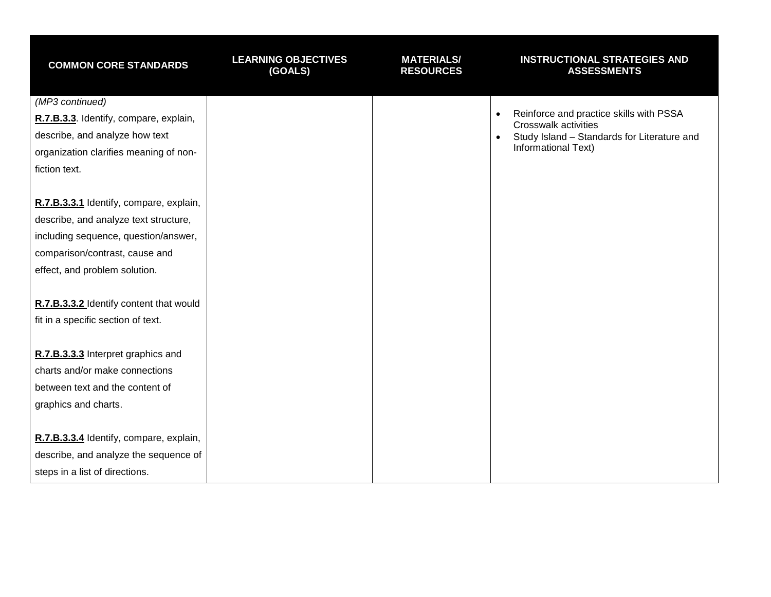| <b>COMMON CORE STANDARDS</b>                                                                                                                                                                | <b>LEARNING OBJECTIVES</b><br>(GOALS) | <b>MATERIALS/</b><br><b>RESOURCES</b> | <b>INSTRUCTIONAL STRATEGIES AND</b><br><b>ASSESSMENTS</b>                                                                                                              |
|---------------------------------------------------------------------------------------------------------------------------------------------------------------------------------------------|---------------------------------------|---------------------------------------|------------------------------------------------------------------------------------------------------------------------------------------------------------------------|
| (MP3 continued)<br>R.7.B.3.3. Identify, compare, explain,<br>describe, and analyze how text<br>organization clarifies meaning of non-<br>fiction text.                                      |                                       |                                       | Reinforce and practice skills with PSSA<br>$\bullet$<br><b>Crosswalk activities</b><br>Study Island - Standards for Literature and<br>$\bullet$<br>Informational Text) |
| R.7.B.3.3.1 Identify, compare, explain,<br>describe, and analyze text structure,<br>including sequence, question/answer,<br>comparison/contrast, cause and<br>effect, and problem solution. |                                       |                                       |                                                                                                                                                                        |
| R.7.B.3.3.2 Identify content that would<br>fit in a specific section of text.                                                                                                               |                                       |                                       |                                                                                                                                                                        |
| R.7.B.3.3.3 Interpret graphics and<br>charts and/or make connections<br>between text and the content of<br>graphics and charts.                                                             |                                       |                                       |                                                                                                                                                                        |
| R.7.B.3.3.4 Identify, compare, explain,<br>describe, and analyze the sequence of<br>steps in a list of directions.                                                                          |                                       |                                       |                                                                                                                                                                        |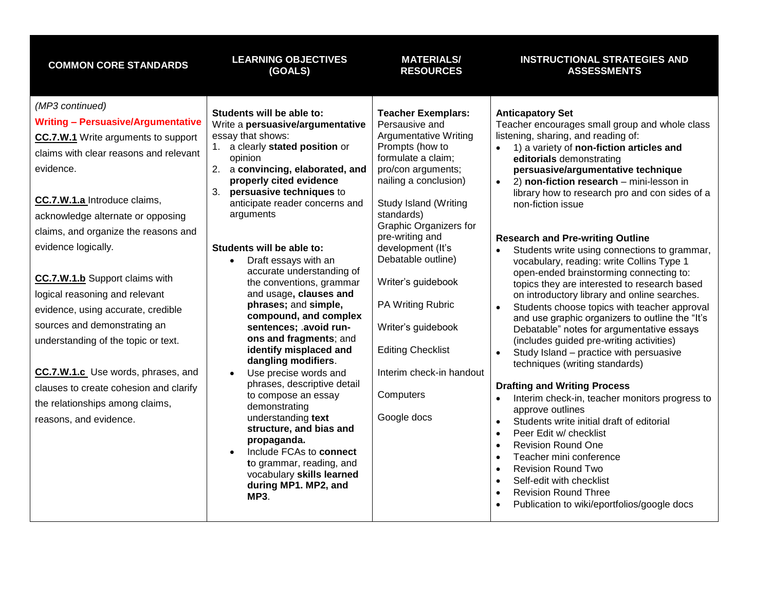| <b>COMMON CORE STANDARDS</b>                                                                                                                                                                                                                                                                                                                   | <b>LEARNING OBJECTIVES</b><br>(GOALS)                                                                                                                                                                                                                                                                                                                                                                                                                                                                                        | <b>MATERIALS/</b><br><b>RESOURCES</b>                                                                                                                                                                                                                                                                     | <b>INSTRUCTIONAL STRATEGIES AND</b><br><b>ASSESSMENTS</b>                                                                                                                                                                                                                                                                                                                                                                                                                                                                                                                                                                                                                                                                                                                                                                 |
|------------------------------------------------------------------------------------------------------------------------------------------------------------------------------------------------------------------------------------------------------------------------------------------------------------------------------------------------|------------------------------------------------------------------------------------------------------------------------------------------------------------------------------------------------------------------------------------------------------------------------------------------------------------------------------------------------------------------------------------------------------------------------------------------------------------------------------------------------------------------------------|-----------------------------------------------------------------------------------------------------------------------------------------------------------------------------------------------------------------------------------------------------------------------------------------------------------|---------------------------------------------------------------------------------------------------------------------------------------------------------------------------------------------------------------------------------------------------------------------------------------------------------------------------------------------------------------------------------------------------------------------------------------------------------------------------------------------------------------------------------------------------------------------------------------------------------------------------------------------------------------------------------------------------------------------------------------------------------------------------------------------------------------------------|
| (MP3 continued)<br><b>Writing - Persuasive/Argumentative</b><br><b>CC.7.W.1</b> Write arguments to support<br>claims with clear reasons and relevant<br>evidence.<br>CC.7.W.1.a Introduce claims,<br>acknowledge alternate or opposing<br>claims, and organize the reasons and<br>evidence logically.<br><b>CC.7.W.1.b</b> Support claims with | Students will be able to:<br>Write a persuasive/argumentative<br>essay that shows:<br>1. a clearly stated position or<br>opinion<br>2. a convincing, elaborated, and<br>properly cited evidence<br>3. persuasive techniques to<br>anticipate reader concerns and<br>arguments<br>Students will be able to:<br>Draft essays with an<br>$\bullet$<br>accurate understanding of                                                                                                                                                 | <b>Teacher Exemplars:</b><br>Persausive and<br><b>Argumentative Writing</b><br>Prompts (how to<br>formulate a claim;<br>pro/con arguments;<br>nailing a conclusion)<br>Study Island (Writing<br>standards)<br><b>Graphic Organizers for</b><br>pre-writing and<br>development (It's<br>Debatable outline) | <b>Anticapatory Set</b><br>Teacher encourages small group and whole class<br>listening, sharing, and reading of:<br>1) a variety of non-fiction articles and<br>editorials demonstrating<br>persuasive/argumentative technique<br>2) non-fiction research - mini-lesson in<br>library how to research pro and con sides of a<br>non-fiction issue<br><b>Research and Pre-writing Outline</b><br>Students write using connections to grammar,<br>vocabulary, reading: write Collins Type 1<br>open-ended brainstorming connecting to:                                                                                                                                                                                                                                                                                      |
| logical reasoning and relevant<br>evidence, using accurate, credible<br>sources and demonstrating an<br>understanding of the topic or text.<br>CC.7.W.1.c Use words, phrases, and<br>clauses to create cohesion and clarify<br>the relationships among claims,<br>reasons, and evidence.                                                       | the conventions, grammar<br>and usage, clauses and<br>phrases; and simple,<br>compound, and complex<br>sentences; avoid run-<br>ons and fragments; and<br>identify misplaced and<br>dangling modifiers.<br>Use precise words and<br>$\bullet$<br>phrases, descriptive detail<br>to compose an essay<br>demonstrating<br>understanding text<br>structure, and bias and<br>propaganda.<br>Include FCAs to connect<br>$\bullet$<br>to grammar, reading, and<br>vocabulary skills learned<br>during MP1. MP2, and<br><b>MP3.</b> | Writer's guidebook<br>PA Writing Rubric<br>Writer's guidebook<br><b>Editing Checklist</b><br>Interim check-in handout<br>Computers<br>Google docs                                                                                                                                                         | topics they are interested to research based<br>on introductory library and online searches.<br>Students choose topics with teacher approval<br>$\bullet$<br>and use graphic organizers to outline the "It's<br>Debatable" notes for argumentative essays<br>(includes guided pre-writing activities)<br>Study Island - practice with persuasive<br>techniques (writing standards)<br><b>Drafting and Writing Process</b><br>Interim check-in, teacher monitors progress to<br>approve outlines<br>Students write initial draft of editorial<br>Peer Edit w/ checklist<br>$\bullet$<br><b>Revision Round One</b><br>Teacher mini conference<br>$\bullet$<br><b>Revision Round Two</b><br>$\bullet$<br>Self-edit with checklist<br>$\bullet$<br><b>Revision Round Three</b><br>Publication to wiki/eportfolios/google docs |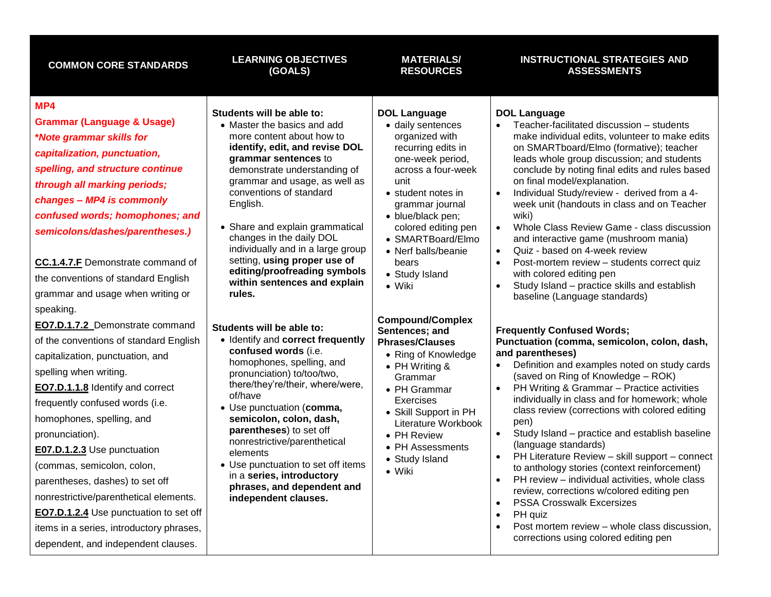| <b>COMMON CORE STANDARDS</b>                                                                                                                                                                                                                                                                                                                                                                                                                                                                                                                              | <b>LEARNING OBJECTIVES</b><br>(GOALS)                                                                                                                                                                                                                                                                                                                                                                                                                                 | <b>MATERIALS/</b><br><b>RESOURCES</b>                                                                                                                                                                                                                                                                            | <b>INSTRUCTIONAL STRATEGIES AND</b><br><b>ASSESSMENTS</b>                                                                                                                                                                                                                                                                                                                                                                                                                                                                                                                                                                                                                                                                                                                                                                  |
|-----------------------------------------------------------------------------------------------------------------------------------------------------------------------------------------------------------------------------------------------------------------------------------------------------------------------------------------------------------------------------------------------------------------------------------------------------------------------------------------------------------------------------------------------------------|-----------------------------------------------------------------------------------------------------------------------------------------------------------------------------------------------------------------------------------------------------------------------------------------------------------------------------------------------------------------------------------------------------------------------------------------------------------------------|------------------------------------------------------------------------------------------------------------------------------------------------------------------------------------------------------------------------------------------------------------------------------------------------------------------|----------------------------------------------------------------------------------------------------------------------------------------------------------------------------------------------------------------------------------------------------------------------------------------------------------------------------------------------------------------------------------------------------------------------------------------------------------------------------------------------------------------------------------------------------------------------------------------------------------------------------------------------------------------------------------------------------------------------------------------------------------------------------------------------------------------------------|
| MP4<br><b>Grammar (Language &amp; Usage)</b><br>*Note grammar skills for<br>capitalization, punctuation,<br>spelling, and structure continue<br>through all marking periods;<br>changes - MP4 is commonly<br>confused words; homophones; and<br>semicolons/dashes/parentheses.)<br><b>CC.1.4.7.F</b> Demonstrate command of<br>the conventions of standard English<br>grammar and usage when writing or                                                                                                                                                   | Students will be able to:<br>• Master the basics and add<br>more content about how to<br>identify, edit, and revise DOL<br>grammar sentences to<br>demonstrate understanding of<br>grammar and usage, as well as<br>conventions of standard<br>English.<br>• Share and explain grammatical<br>changes in the daily DOL<br>individually and in a large group<br>setting, using proper use of<br>editing/proofreading symbols<br>within sentences and explain<br>rules. | <b>DOL Language</b><br>• daily sentences<br>organized with<br>recurring edits in<br>one-week period,<br>across a four-week<br>unit<br>• student notes in<br>grammar journal<br>· blue/black pen;<br>colored editing pen<br>• SMARTBoard/Elmo<br>• Nerf balls/beanie<br>bears<br>• Study Island<br>$\bullet$ Wiki | <b>DOL Language</b><br>Teacher-facilitated discussion - students<br>make individual edits, volunteer to make edits<br>on SMARTboard/Elmo (formative); teacher<br>leads whole group discussion; and students<br>conclude by noting final edits and rules based<br>on final model/explanation.<br>Individual Study/review - derived from a 4-<br>$\bullet$<br>week unit (handouts in class and on Teacher<br>wiki)<br>Whole Class Review Game - class discussion<br>$\bullet$<br>and interactive game (mushroom mania)<br>Quiz - based on 4-week review<br>$\bullet$<br>Post-mortem review - students correct quiz<br>$\bullet$<br>with colored editing pen<br>Study Island - practice skills and establish<br>$\bullet$<br>baseline (Language standards)                                                                    |
| speaking.<br>EO7.D.1.7.2 Demonstrate command<br>of the conventions of standard English<br>capitalization, punctuation, and<br>spelling when writing.<br><b>EO7.D.1.1.8</b> Identify and correct<br>frequently confused words (i.e.<br>homophones, spelling, and<br>pronunciation).<br>E07.D.1.2.3 Use punctuation<br>(commas, semicolon, colon,<br>parentheses, dashes) to set off<br>nonrestrictive/parenthetical elements.<br>EO7.D.1.2.4 Use punctuation to set off<br>items in a series, introductory phrases,<br>dependent, and independent clauses. | Students will be able to:<br>• Identify and correct frequently<br>confused words (i.e.<br>homophones, spelling, and<br>pronunciation) to/too/two,<br>there/they're/their, where/were,<br>of/have<br>• Use punctuation (comma,<br>semicolon, colon, dash,<br>parentheses) to set off<br>nonrestrictive/parenthetical<br>elements<br>• Use punctuation to set off items<br>in a series, introductory<br>phrases, and dependent and<br>independent clauses.              | <b>Compound/Complex</b><br>Sentences; and<br><b>Phrases/Clauses</b><br>• Ring of Knowledge<br>• PH Writing &<br>Grammar<br>• PH Grammar<br>Exercises<br>• Skill Support in PH<br>Literature Workbook<br>• PH Review<br>• PH Assessments<br>• Study Island<br>$\bullet$ Wiki                                      | <b>Frequently Confused Words;</b><br>Punctuation (comma, semicolon, colon, dash,<br>and parentheses)<br>Definition and examples noted on study cards<br>(saved on Ring of Knowledge - ROK)<br>PH Writing & Grammar - Practice activities<br>individually in class and for homework; whole<br>class review (corrections with colored editing<br>pen)<br>Study Island - practice and establish baseline<br>$\bullet$<br>(language standards)<br>PH Literature Review - skill support - connect<br>to anthology stories (context reinforcement)<br>PH review - individual activities, whole class<br>review, corrections w/colored editing pen<br><b>PSSA Crosswalk Excersizes</b><br>$\bullet$<br>PH quiz<br>$\bullet$<br>Post mortem review - whole class discussion,<br>$\bullet$<br>corrections using colored editing pen |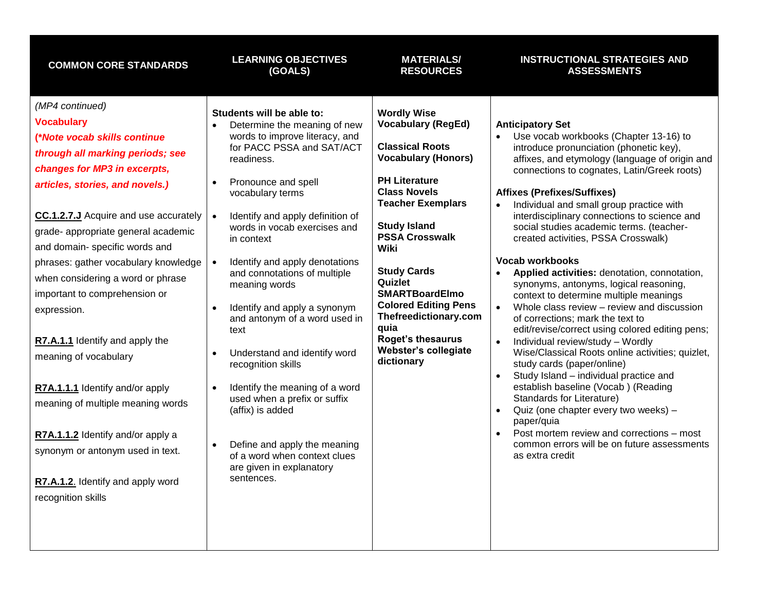| <b>COMMON CORE STANDARDS</b>                                                                                                                                                                                                                                                                                                                                                                                                                                                                                                                                                                                                                                                                              | <b>LEARNING OBJECTIVES</b><br>(GOALS)                                                                                                                                                                                                                                                                                                                                                                                                                                                                                                                                                                                                                                                                                                                                            | <b>MATERIALS/</b><br><b>RESOURCES</b>                                                                                                                                                                                                                                                                                                                                                                                           | <b>INSTRUCTIONAL STRATEGIES AND</b><br><b>ASSESSMENTS</b>                                                                                                                                                                                                                                                                                                                                                                                                                                                                                                                                                                                                                                                                                                                                                                                                                                                                                                                                                                                                                                                                                                                                                                    |
|-----------------------------------------------------------------------------------------------------------------------------------------------------------------------------------------------------------------------------------------------------------------------------------------------------------------------------------------------------------------------------------------------------------------------------------------------------------------------------------------------------------------------------------------------------------------------------------------------------------------------------------------------------------------------------------------------------------|----------------------------------------------------------------------------------------------------------------------------------------------------------------------------------------------------------------------------------------------------------------------------------------------------------------------------------------------------------------------------------------------------------------------------------------------------------------------------------------------------------------------------------------------------------------------------------------------------------------------------------------------------------------------------------------------------------------------------------------------------------------------------------|---------------------------------------------------------------------------------------------------------------------------------------------------------------------------------------------------------------------------------------------------------------------------------------------------------------------------------------------------------------------------------------------------------------------------------|------------------------------------------------------------------------------------------------------------------------------------------------------------------------------------------------------------------------------------------------------------------------------------------------------------------------------------------------------------------------------------------------------------------------------------------------------------------------------------------------------------------------------------------------------------------------------------------------------------------------------------------------------------------------------------------------------------------------------------------------------------------------------------------------------------------------------------------------------------------------------------------------------------------------------------------------------------------------------------------------------------------------------------------------------------------------------------------------------------------------------------------------------------------------------------------------------------------------------|
| (MP4 continued)<br><b>Vocabulary</b><br>(*Note vocab skills continue<br>through all marking periods; see<br>changes for MP3 in excerpts,<br>articles, stories, and novels.)<br><b>CC.1.2.7.J</b> Acquire and use accurately<br>grade- appropriate general academic<br>and domain- specific words and<br>phrases: gather vocabulary knowledge<br>when considering a word or phrase<br>important to comprehension or<br>expression.<br>R7.A.1.1 Identify and apply the<br>meaning of vocabulary<br>R7A.1.1.1 Identify and/or apply<br>meaning of multiple meaning words<br>R7A.1.1.2 Identify and/or apply a<br>synonym or antonym used in text.<br>R7.A.1.2. Identify and apply word<br>recognition skills | Students will be able to:<br>Determine the meaning of new<br>$\bullet$<br>words to improve literacy, and<br>for PACC PSSA and SAT/ACT<br>readiness.<br>Pronounce and spell<br>$\bullet$<br>vocabulary terms<br>Identify and apply definition of<br>words in vocab exercises and<br>in context<br>Identify and apply denotations<br>$\bullet$<br>and connotations of multiple<br>meaning words<br>Identify and apply a synonym<br>$\bullet$<br>and antonym of a word used in<br>text<br>Understand and identify word<br>$\bullet$<br>recognition skills<br>Identify the meaning of a word<br>$\bullet$<br>used when a prefix or suffix<br>(affix) is added<br>Define and apply the meaning<br>$\bullet$<br>of a word when context clues<br>are given in explanatory<br>sentences. | <b>Wordly Wise</b><br><b>Vocabulary (RegEd)</b><br><b>Classical Roots</b><br><b>Vocabulary (Honors)</b><br><b>PH Literature</b><br><b>Class Novels</b><br><b>Teacher Exemplars</b><br><b>Study Island</b><br><b>PSSA Crosswalk</b><br>Wiki<br><b>Study Cards</b><br>Quizlet<br><b>SMARTBoardElmo</b><br><b>Colored Editing Pens</b><br>Thefreedictionary.com<br>quia<br>Roget's thesaurus<br>Webster's collegiate<br>dictionary | <b>Anticipatory Set</b><br>Use vocab workbooks (Chapter 13-16) to<br>$\bullet$<br>introduce pronunciation (phonetic key),<br>affixes, and etymology (language of origin and<br>connections to cognates, Latin/Greek roots)<br><b>Affixes (Prefixes/Suffixes)</b><br>Individual and small group practice with<br>interdisciplinary connections to science and<br>social studies academic terms. (teacher-<br>created activities, PSSA Crosswalk)<br>Vocab workbooks<br>Applied activities: denotation, connotation,<br>synonyms, antonyms, logical reasoning,<br>context to determine multiple meanings<br>Whole class review - review and discussion<br>$\bullet$<br>of corrections; mark the text to<br>edit/revise/correct using colored editing pens;<br>Individual review/study - Wordly<br>$\bullet$<br>Wise/Classical Roots online activities; quizlet,<br>study cards (paper/online)<br>Study Island - individual practice and<br>$\bullet$<br>establish baseline (Vocab) (Reading<br><b>Standards for Literature)</b><br>Quiz (one chapter every two weeks) -<br>$\bullet$<br>paper/quia<br>Post mortem review and corrections - most<br>$\bullet$<br>common errors will be on future assessments<br>as extra credit |
|                                                                                                                                                                                                                                                                                                                                                                                                                                                                                                                                                                                                                                                                                                           |                                                                                                                                                                                                                                                                                                                                                                                                                                                                                                                                                                                                                                                                                                                                                                                  |                                                                                                                                                                                                                                                                                                                                                                                                                                 |                                                                                                                                                                                                                                                                                                                                                                                                                                                                                                                                                                                                                                                                                                                                                                                                                                                                                                                                                                                                                                                                                                                                                                                                                              |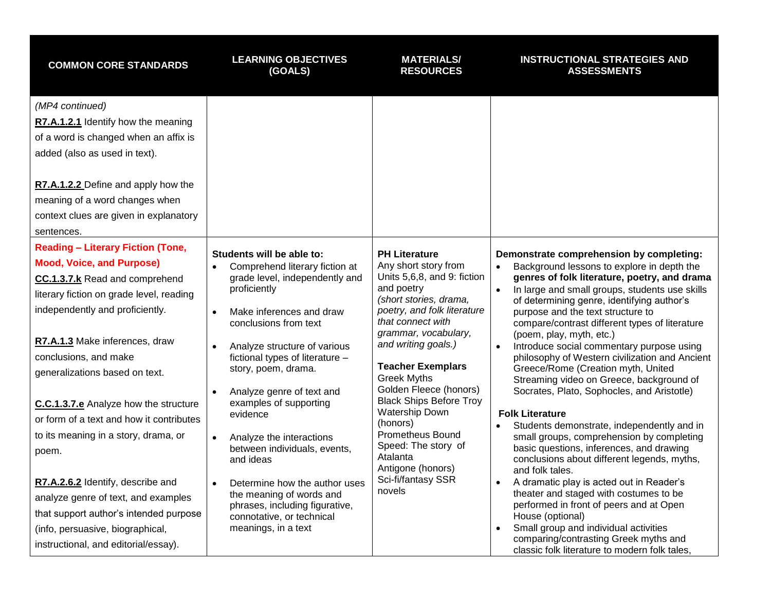| <b>COMMON CORE STANDARDS</b>                                                                                                                                                                                                                                                                                                                                                                                                                                                                                                                                                                                                                     | <b>LEARNING OBJECTIVES</b><br>(GOALS)                                                                                                                                                                                                                                                                                                                                                                                                                                                                                                                       | <b>MATERIALS/</b><br><b>RESOURCES</b>                                                                                                                                                                                                                                                                                                                                                                                                                                                 | <b>INSTRUCTIONAL STRATEGIES AND</b><br><b>ASSESSMENTS</b>                                                                                                                                                                                                                                                                                                                                                                                                                                                                                                                                                                                                                                                                                                                                                                                                                                                                                                                                                                                                                                                                        |
|--------------------------------------------------------------------------------------------------------------------------------------------------------------------------------------------------------------------------------------------------------------------------------------------------------------------------------------------------------------------------------------------------------------------------------------------------------------------------------------------------------------------------------------------------------------------------------------------------------------------------------------------------|-------------------------------------------------------------------------------------------------------------------------------------------------------------------------------------------------------------------------------------------------------------------------------------------------------------------------------------------------------------------------------------------------------------------------------------------------------------------------------------------------------------------------------------------------------------|---------------------------------------------------------------------------------------------------------------------------------------------------------------------------------------------------------------------------------------------------------------------------------------------------------------------------------------------------------------------------------------------------------------------------------------------------------------------------------------|----------------------------------------------------------------------------------------------------------------------------------------------------------------------------------------------------------------------------------------------------------------------------------------------------------------------------------------------------------------------------------------------------------------------------------------------------------------------------------------------------------------------------------------------------------------------------------------------------------------------------------------------------------------------------------------------------------------------------------------------------------------------------------------------------------------------------------------------------------------------------------------------------------------------------------------------------------------------------------------------------------------------------------------------------------------------------------------------------------------------------------|
| (MP4 continued)<br>R7.A.1.2.1 Identify how the meaning<br>of a word is changed when an affix is<br>added (also as used in text).<br>R7.A.1.2.2 Define and apply how the<br>meaning of a word changes when<br>context clues are given in explanatory<br>sentences.                                                                                                                                                                                                                                                                                                                                                                                |                                                                                                                                                                                                                                                                                                                                                                                                                                                                                                                                                             |                                                                                                                                                                                                                                                                                                                                                                                                                                                                                       |                                                                                                                                                                                                                                                                                                                                                                                                                                                                                                                                                                                                                                                                                                                                                                                                                                                                                                                                                                                                                                                                                                                                  |
| <b>Reading - Literary Fiction (Tone,</b><br><b>Mood, Voice, and Purpose)</b><br><b>CC.1.3.7.k</b> Read and comprehend<br>literary fiction on grade level, reading<br>independently and proficiently.<br>R7.A.1.3 Make inferences, draw<br>conclusions, and make<br>generalizations based on text.<br><b>C.C.1.3.7.e</b> Analyze how the structure<br>or form of a text and how it contributes<br>to its meaning in a story, drama, or<br>poem.<br>R7.A.2.6.2 Identify, describe and<br>analyze genre of text, and examples<br>that support author's intended purpose<br>(info, persuasive, biographical,<br>instructional, and editorial/essay). | Students will be able to:<br>Comprehend literary fiction at<br>grade level, independently and<br>proficiently<br>Make inferences and draw<br>conclusions from text<br>Analyze structure of various<br>fictional types of literature -<br>story, poem, drama.<br>Analyze genre of text and<br>examples of supporting<br>evidence<br>Analyze the interactions<br>between individuals, events,<br>and ideas<br>Determine how the author uses<br>the meaning of words and<br>phrases, including figurative,<br>connotative, or technical<br>meanings, in a text | <b>PH Literature</b><br>Any short story from<br>Units 5,6,8, and 9: fiction<br>and poetry<br>(short stories, drama,<br>poetry, and folk literature<br>that connect with<br>grammar, vocabulary,<br>and writing goals.)<br><b>Teacher Exemplars</b><br><b>Greek Myths</b><br>Golden Fleece (honors)<br><b>Black Ships Before Troy</b><br>Watership Down<br>(honors)<br><b>Prometheus Bound</b><br>Speed: The story of<br>Atalanta<br>Antigone (honors)<br>Sci-fi/fantasy SSR<br>novels | Demonstrate comprehension by completing:<br>Background lessons to explore in depth the<br>$\bullet$<br>genres of folk literature, poetry, and drama<br>In large and small groups, students use skills<br>of determining genre, identifying author's<br>purpose and the text structure to<br>compare/contrast different types of literature<br>(poem, play, myth, etc.)<br>Introduce social commentary purpose using<br>philosophy of Western civilization and Ancient<br>Greece/Rome (Creation myth, United<br>Streaming video on Greece, background of<br>Socrates, Plato, Sophocles, and Aristotle)<br><b>Folk Literature</b><br>Students demonstrate, independently and in<br>small groups, comprehension by completing<br>basic questions, inferences, and drawing<br>conclusions about different legends, myths,<br>and folk tales.<br>A dramatic play is acted out in Reader's<br>theater and staged with costumes to be<br>performed in front of peers and at Open<br>House (optional)<br>Small group and individual activities<br>comparing/contrasting Greek myths and<br>classic folk literature to modern folk tales, |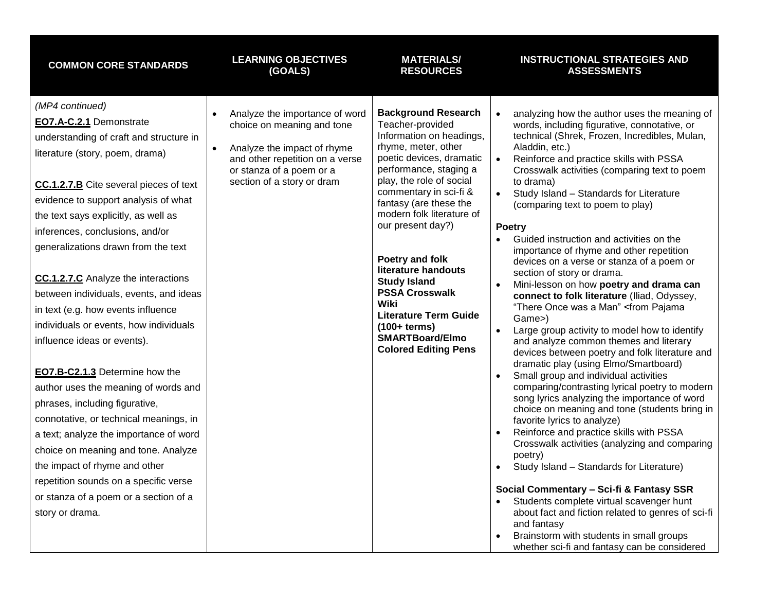| <b>COMMON CORE STANDARDS</b>                                                                                                                                                                                                                                                                                                                                                                                                                                                                                                                                                                                                                                                                                                                                                                                                                                                                                            | <b>LEARNING OBJECTIVES</b>                                                                                                                                                                            | <b>MATERIALS/</b>                                                                                                                                                                                                                                                                                                                                                                                                                                                                                       | <b>INSTRUCTIONAL STRATEGIES AND</b>                                                                                                                                                                                                                                                                                                                                                                                                                                                                                                                                                                                                                                                                                                                                                                                                                                                                                                                                                                                                                                                                                                                                                                                                                                                                                                                                                                                                                                                                                                                                                                                                                                                                    |
|-------------------------------------------------------------------------------------------------------------------------------------------------------------------------------------------------------------------------------------------------------------------------------------------------------------------------------------------------------------------------------------------------------------------------------------------------------------------------------------------------------------------------------------------------------------------------------------------------------------------------------------------------------------------------------------------------------------------------------------------------------------------------------------------------------------------------------------------------------------------------------------------------------------------------|-------------------------------------------------------------------------------------------------------------------------------------------------------------------------------------------------------|---------------------------------------------------------------------------------------------------------------------------------------------------------------------------------------------------------------------------------------------------------------------------------------------------------------------------------------------------------------------------------------------------------------------------------------------------------------------------------------------------------|--------------------------------------------------------------------------------------------------------------------------------------------------------------------------------------------------------------------------------------------------------------------------------------------------------------------------------------------------------------------------------------------------------------------------------------------------------------------------------------------------------------------------------------------------------------------------------------------------------------------------------------------------------------------------------------------------------------------------------------------------------------------------------------------------------------------------------------------------------------------------------------------------------------------------------------------------------------------------------------------------------------------------------------------------------------------------------------------------------------------------------------------------------------------------------------------------------------------------------------------------------------------------------------------------------------------------------------------------------------------------------------------------------------------------------------------------------------------------------------------------------------------------------------------------------------------------------------------------------------------------------------------------------------------------------------------------------|
|                                                                                                                                                                                                                                                                                                                                                                                                                                                                                                                                                                                                                                                                                                                                                                                                                                                                                                                         | (GOALS)                                                                                                                                                                                               | <b>RESOURCES</b>                                                                                                                                                                                                                                                                                                                                                                                                                                                                                        | <b>ASSESSMENTS</b>                                                                                                                                                                                                                                                                                                                                                                                                                                                                                                                                                                                                                                                                                                                                                                                                                                                                                                                                                                                                                                                                                                                                                                                                                                                                                                                                                                                                                                                                                                                                                                                                                                                                                     |
| (MP4 continued)<br>EO7.A-C.2.1 Demonstrate<br>understanding of craft and structure in<br>literature (story, poem, drama)<br><b>CC.1.2.7.B</b> Cite several pieces of text<br>evidence to support analysis of what<br>the text says explicitly, as well as<br>inferences, conclusions, and/or<br>generalizations drawn from the text<br><b>CC.1.2.7.C</b> Analyze the interactions<br>between individuals, events, and ideas<br>in text (e.g. how events influence<br>individuals or events, how individuals<br>influence ideas or events).<br>EO7.B-C2.1.3 Determine how the<br>author uses the meaning of words and<br>phrases, including figurative,<br>connotative, or technical meanings, in<br>a text; analyze the importance of word<br>choice on meaning and tone. Analyze<br>the impact of rhyme and other<br>repetition sounds on a specific verse<br>or stanza of a poem or a section of a<br>story or drama. | Analyze the importance of word<br>choice on meaning and tone<br>Analyze the impact of rhyme<br>$\bullet$<br>and other repetition on a verse<br>or stanza of a poem or a<br>section of a story or dram | <b>Background Research</b><br>Teacher-provided<br>Information on headings,<br>rhyme, meter, other<br>poetic devices, dramatic<br>performance, staging a<br>play, the role of social<br>commentary in sci-fi &<br>fantasy (are these the<br>modern folk literature of<br>our present day?)<br>Poetry and folk<br>literature handouts<br><b>Study Island</b><br><b>PSSA Crosswalk</b><br>Wiki<br><b>Literature Term Guide</b><br>$(100 + terms)$<br><b>SMARTBoard/Elmo</b><br><b>Colored Editing Pens</b> | analyzing how the author uses the meaning of<br>words, including figurative, connotative, or<br>technical (Shrek, Frozen, Incredibles, Mulan,<br>Aladdin, etc.)<br>$\bullet$<br>Reinforce and practice skills with PSSA<br>Crosswalk activities (comparing text to poem<br>to drama)<br>$\bullet$<br>Study Island - Standards for Literature<br>(comparing text to poem to play)<br><b>Poetry</b><br>Guided instruction and activities on the<br>$\bullet$<br>importance of rhyme and other repetition<br>devices on a verse or stanza of a poem or<br>section of story or drama.<br>Mini-lesson on how poetry and drama can<br>$\bullet$<br>connect to folk literature (Iliad, Odyssey,<br>"There Once was a Man" <from pajama<br="">Game&gt;)<br/>Large group activity to model how to identify<br/>and analyze common themes and literary<br/>devices between poetry and folk literature and<br/>dramatic play (using Elmo/Smartboard)<br/><math>\bullet</math><br/>Small group and individual activities<br/>comparing/contrasting lyrical poetry to modern<br/>song lyrics analyzing the importance of word<br/>choice on meaning and tone (students bring in<br/>favorite lyrics to analyze)<br/>Reinforce and practice skills with PSSA<br/>Crosswalk activities (analyzing and comparing<br/>poetry)<br/>Study Island - Standards for Literature)<br/><math>\bullet</math><br/>Social Commentary - Sci-fi &amp; Fantasy SSR<br/>Students complete virtual scavenger hunt<br/>about fact and fiction related to genres of sci-fi<br/>and fantasy<br/>Brainstorm with students in small groups<br/><math display="inline">\bullet</math><br/>whether sci-fi and fantasy can be considered</from> |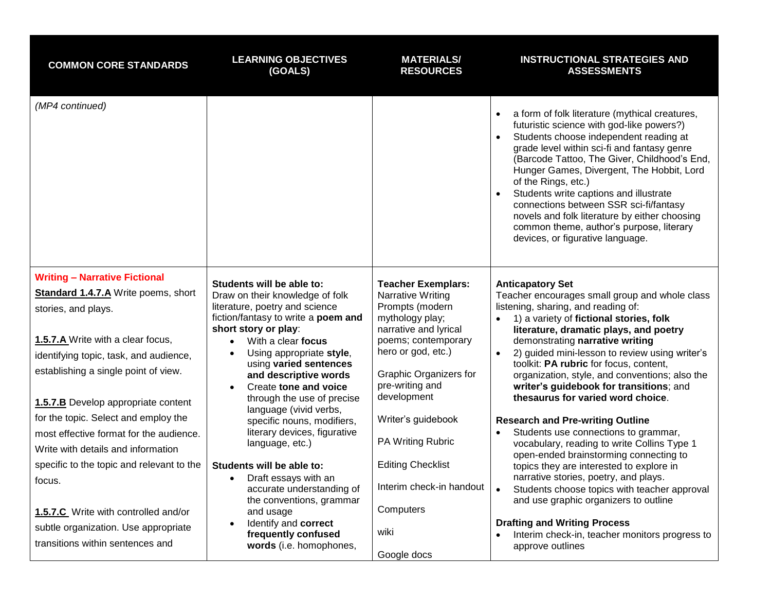| <b>COMMON CORE STANDARDS</b>                                                                                                                                                                                                                                                                                                                               | <b>LEARNING OBJECTIVES</b><br>(GOALS)                                                                                                                                                                                                                                                                                                                                                                                                | <b>MATERIALS/</b><br><b>RESOURCES</b>                                                                                                                                                                                                                             | <b>INSTRUCTIONAL STRATEGIES AND</b><br><b>ASSESSMENTS</b>                                                                                                                                                                                                                                                                                                                                                                                                                                                                                                                                                             |
|------------------------------------------------------------------------------------------------------------------------------------------------------------------------------------------------------------------------------------------------------------------------------------------------------------------------------------------------------------|--------------------------------------------------------------------------------------------------------------------------------------------------------------------------------------------------------------------------------------------------------------------------------------------------------------------------------------------------------------------------------------------------------------------------------------|-------------------------------------------------------------------------------------------------------------------------------------------------------------------------------------------------------------------------------------------------------------------|-----------------------------------------------------------------------------------------------------------------------------------------------------------------------------------------------------------------------------------------------------------------------------------------------------------------------------------------------------------------------------------------------------------------------------------------------------------------------------------------------------------------------------------------------------------------------------------------------------------------------|
| (MP4 continued)                                                                                                                                                                                                                                                                                                                                            |                                                                                                                                                                                                                                                                                                                                                                                                                                      |                                                                                                                                                                                                                                                                   | a form of folk literature (mythical creatures,<br>futuristic science with god-like powers?)<br>Students choose independent reading at<br>grade level within sci-fi and fantasy genre<br>(Barcode Tattoo, The Giver, Childhood's End,<br>Hunger Games, Divergent, The Hobbit, Lord<br>of the Rings, etc.)<br>Students write captions and illustrate<br>connections between SSR sci-fi/fantasy<br>novels and folk literature by either choosing<br>common theme, author's purpose, literary<br>devices, or figurative language.                                                                                         |
| <b>Writing - Narrative Fictional</b><br><b>Standard 1.4.7.A Write poems, short</b><br>stories, and plays.<br>1.5.7.A Write with a clear focus,<br>identifying topic, task, and audience,<br>establishing a single point of view.<br>1.5.7.B Develop appropriate content<br>for the topic. Select and employ the<br>most effective format for the audience. | Students will be able to:<br>Draw on their knowledge of folk<br>literature, poetry and science<br>fiction/fantasy to write a poem and<br>short story or play:<br>With a clear focus<br>Using appropriate style,<br>using varied sentences<br>and descriptive words<br>Create tone and voice<br>through the use of precise<br>language (vivid verbs,<br>specific nouns, modifiers,<br>literary devices, figurative<br>language, etc.) | <b>Teacher Exemplars:</b><br>Narrative Writing<br>Prompts (modern<br>mythology play;<br>narrative and lyrical<br>poems; contemporary<br>hero or god, etc.)<br>Graphic Organizers for<br>pre-writing and<br>development<br>Writer's guidebook<br>PA Writing Rubric | <b>Anticapatory Set</b><br>Teacher encourages small group and whole class<br>listening, sharing, and reading of:<br>1) a variety of fictional stories, folk<br>literature, dramatic plays, and poetry<br>demonstrating narrative writing<br>2) guided mini-lesson to review using writer's<br>$\bullet$<br>toolkit: PA rubric for focus, content,<br>organization, style, and conventions; also the<br>writer's guidebook for transitions; and<br>thesaurus for varied word choice.<br><b>Research and Pre-writing Outline</b><br>Students use connections to grammar,<br>vocabulary, reading to write Collins Type 1 |
| Write with details and information<br>specific to the topic and relevant to the<br>focus.<br><b>1.5.7.C</b> Write with controlled and/or<br>subtle organization. Use appropriate<br>transitions within sentences and                                                                                                                                       | Students will be able to:<br>Draft essays with an<br>$\bullet$<br>accurate understanding of<br>the conventions, grammar<br>and usage<br>Identify and correct<br>frequently confused<br>words (i.e. homophones,                                                                                                                                                                                                                       | <b>Editing Checklist</b><br>Interim check-in handout<br>Computers<br>wiki<br>Google docs                                                                                                                                                                          | open-ended brainstorming connecting to<br>topics they are interested to explore in<br>narrative stories, poetry, and plays.<br>Students choose topics with teacher approval<br>$\bullet$<br>and use graphic organizers to outline<br><b>Drafting and Writing Process</b><br>Interim check-in, teacher monitors progress to<br>$\bullet$<br>approve outlines                                                                                                                                                                                                                                                           |